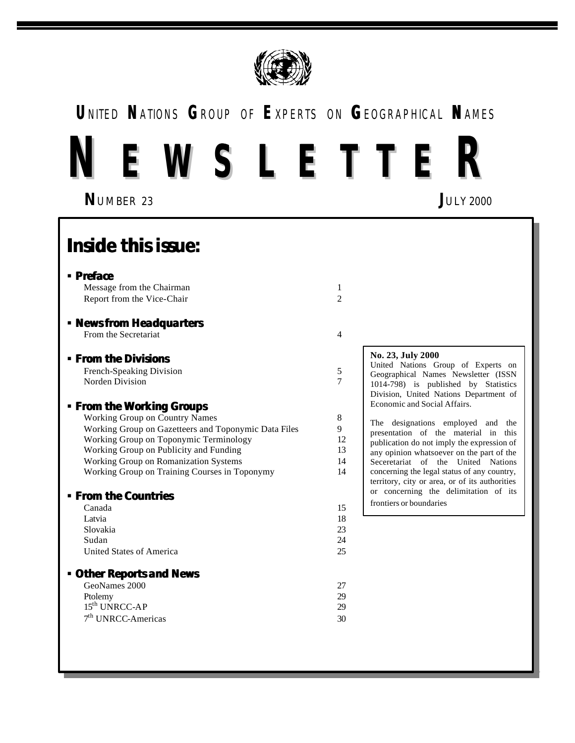

## **U**NITED **N**ATIONS **G**ROUP OF **E**XPERTS ON **G**EOGRAPHICAL **N**AMES

# **N E W S L E T T E R**

**N**UMBER 23 **J**ULY 2000

## **Inside this issue:**

### ß **Preface**

Message from the Chairman 1 Report from the Vice-Chair 2

#### ß **News from Headquarters** From the Secretariat 4

ß **From the Divisions**

French-Speaking Division 5 Norden Division 7

### ß **From the Working Groups**

| <b>Working Group on Country Names</b>                |    |
|------------------------------------------------------|----|
| Working Group on Gazetteers and Toponymic Data Files |    |
| Working Group on Toponymic Terminology               | 12 |
| Working Group on Publicity and Funding               | 13 |
| Working Group on Romanization Systems                | 14 |
| Working Group on Training Courses in Toponymy        | 14 |

### ß **From the Countries**

| Canada                   | 15 |
|--------------------------|----|
| Latvia                   | 18 |
| Slovakia                 | 23 |
| Sudan                    | 24 |
| United States of America | 25 |
|                          |    |

### ß **Other Reports and News**

| GeoNames 2000        |    |
|----------------------|----|
| Ptolemy              | 29 |
| $15th UNRCC-AP$      | 29 |
| $7th UNRCC-Americas$ | 30 |

Underground and the contract of the contract of the contract of the contract of the contract of the contract of

### **No. 23, July 2000**

United Nations Group of Experts on Geographical Names Newsletter (ISSN 1014-798) is published by Statistics Division, United Nations Department of Economic and Social Affairs.

The designations employed and the presentation of the material in this publication do not imply the expression of any opinion whatsoever on the part of the Seceretariat of the United Nations concerning the legal status of any country, territory, city or area, or of its authorities or concerning the delimitation of its frontiers or boundaries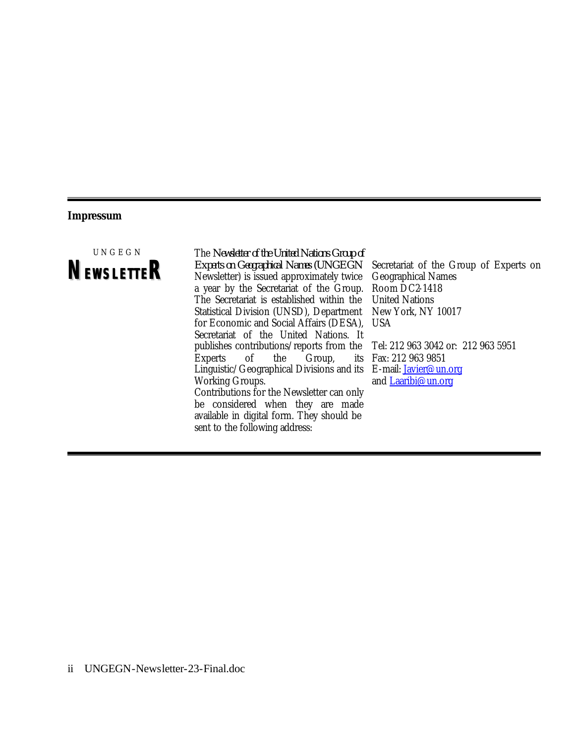### **Impressum**



The *Newsletter of the United Nations Group of Experts on Geographical Names (UNGEGN*  Newsletter) is issued approximately twice a year by the Secretariat of the Group. The Secretariat is established within the Statistical Division (UNSD), Department for Economic and Social Affairs (DESA), Secretariat of the United Nations. It publishes contributions/reports from the Experts of the Group, its Linguistic/Geographical Divisions and its E-mail: Javier@un.org Working Groups. Contributions for the Newsletter can only be considered when they are made available in digital form. They should be sent to the following address:

Secretariat of the Group of Experts on Geographical Names Room DC2-1418 United Nations New York, NY 10017 USA Tel: 212 963 3042 or: 212 963 5951 Fax: 212 963 9851

and Laaribi@un.org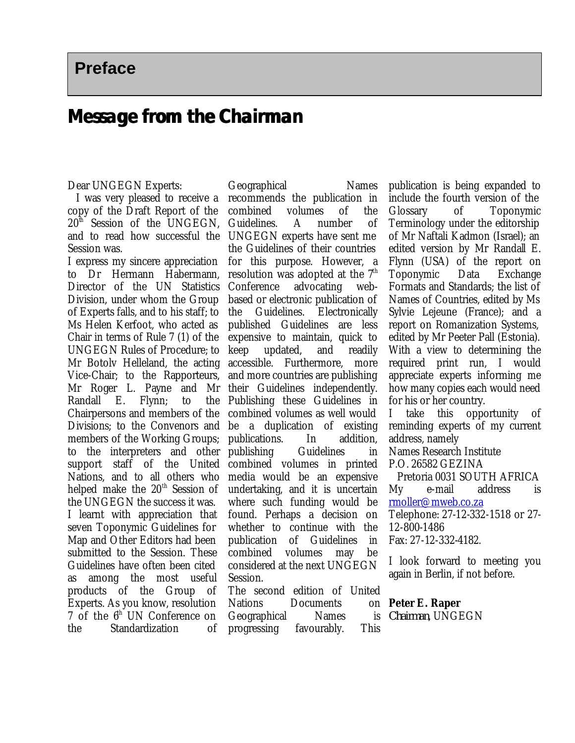Preface

### **Message from the Chairman**

### Dear UNGEGN Experts:

I was very pleased to receive a copy of the Draft Report of the  $20<sup>th</sup>$  Session of the UNGEGN, and to read how successful the Session was.

I express my sincere appreciation to Dr Hermann Habermann, Director of the UN Statistics Division, under whom the Group of Experts falls, and to his staff; to Ms Helen Kerfoot, who acted as Chair in terms of Rule 7 (1) of the UNGEGN Rules of Procedure; to Mr Botolv Helleland, the acting Vice-Chair; to the Rapporteurs, Mr Roger L. Payne and Mr Randall E. Flynn; to the Chairpersons and members of the Divisions; to the Convenors and members of the Working Groups; publications. In addition, to the interpreters and other support staff of the United combined volumes in printed Nations, and to all others who helped make the  $20<sup>th</sup>$  Session of the UNGEGN the success it was. I learnt with appreciation that seven Toponymic Guidelines for Map and Other Editors had been submitted to the Session. These Guidelines have often been cited as among the most useful products of the Group of Experts. As you know, resolution 7 of the  $6<sup>th</sup>$  UN Conference on the Standardization of

Geographical Names recommends the publication in combined volumes of the Guidelines. A number of UNGEGN experts have sent me the Guidelines of their countries for this purpose. However, a resolution was adopted at the  $7<sup>th</sup>$ Conference advocating webbased or electronic publication of the Guidelines. Electronically published Guidelines are less expensive to maintain, quick to keep updated, and readily accessible. Furthermore, more and more countries are publishing their Guidelines independently. Publishing these Guidelines in combined volumes as well would be a duplication of existing publishing Guidelines in media would be an expensive undertaking, and it is uncertain where such funding would be found. Perhaps a decision on whether to continue with the publication of Guidelines in combined volumes may be considered at the next UNGEGN Session. The second edition of United

Nations Documents Geographical Names progressing favourably. This

publication is being expanded to include the fourth version of the Glossary of Toponymic Terminology under the editorship of Mr Naftali Kadmon (Israel); an edited version by Mr Randall E. Flynn (USA) of the report on Toponymic Data Exchange Formats and Standards; the list of Names of Countries, edited by Ms Sylvie Lejeune (France); and a report on Romanization Systems, edited by Mr Peeter Pall (Estonia). With a view to determining the required print run, I would appreciate experts informing me how many copies each would need for his or her country.

I take this opportunity of reminding experts of my current address, namely

Names Research Institute

P.O. 26582 GEZINA

Pretoria 0031 SOUTH AFRICA My e-mail address is rmoller@mweb.co.za

Telephone: 27-12-332-1518 or 27- 12-800-1486

Fax: 27-12-332-4182.

I look forward to meeting you again in Berlin, if not before.

### **Peter E. Raper**

*Chairman*, UNGEGN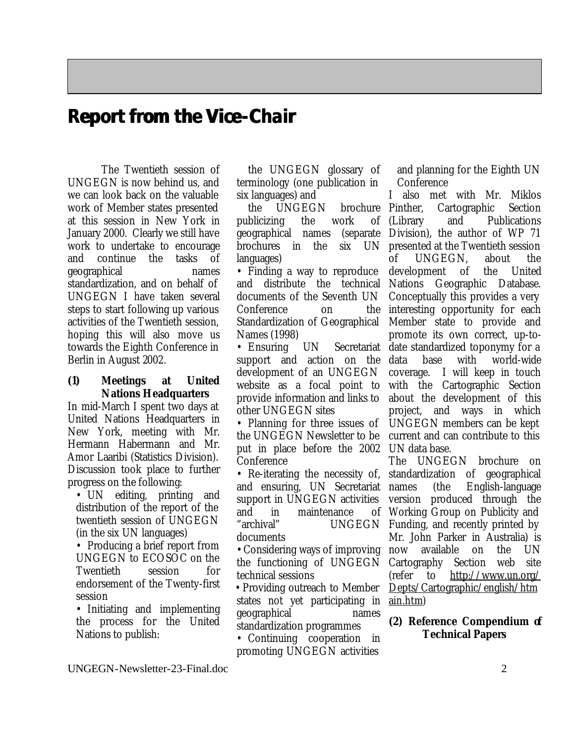### **Report from the Vice-Chair**

The Twentieth session of UNGEGN is now behind us, and we can look back on the valuable work of Member states presented at this session in New York in January 2000. Clearly we still have work to undertake to encourage and continue the tasks of geographical names standardization, and on behalf of UNGEGN I have taken several steps to start following up various activities of the Twentieth session, hoping this will also move us towards the Eighth Conference in Berlin in August 2002.

### **(1) Meetings at United Nations Headquarters**

In mid-March I spent two days at United Nations Headquarters in New York, meeting with Mr. Hermann Habermann and Mr. Amor Laaribi (Statistics Division). Discussion took place to further progress on the following:

• UN editing, printing and distribution of the report of the twentieth session of UNGEGN (in the six UN languages)

• Producing a brief report from UNGEGN to ECOSOC on the Twentieth session for endorsement of the Twenty-first session

• Initiating and implementing the process for the United Nations to publish:

the UNGEGN glossary of terminology (one publication in six languages) and

the UNGEGN brochure publicizing the work of geographical names brochures in the six UN languages)

• Finding a way to reproduce and distribute the technical documents of the Seventh UN Conference on the Standardization of Geographical Names (1998)

• Ensuring UN Secretariat support and action on the development of an UNGEGN website as a focal point to provide information and links to other UNGEGN sites

• Planning for three issues of the UNGEGN Newsletter to be put in place before the 2002 UN data base. Conference

• Re-iterating the necessity of, and ensuring, UN Secretariat support in UNGEGN activities and in maintenance "archival" UNGEGN documents

• Considering ways of improving the functioning of UNGEGN technical sessions

 • Providing outreach to Member states not yet participating in geographical names standardization programmes

• Continuing cooperation in promoting UNGEGN activities

and planning for the Eighth UN Conference

I also met with Mr. Miklos Cartographic Section and Publications (separate Division), the author of WP 71 presented at the Twentieth session of UNGEGN, about the development of the United Nations Geographic Database. Conceptually this provides a very interesting opportunity for each Member state to provide and promote its own correct, up-todate standardized toponymy for a data base with world-wide coverage. I will keep in touch with the Cartographic Section about the development of this project, and ways in which UNGEGN members can be kept current and can contribute to this

The UNGEGN brochure on standardization of geographical names (the English-language version produced through the Working Group on Publicity and Funding, and recently printed by Mr. John Parker in Australia) is now available on the UN Cartography Section web site (refer to http://www.un.org/ Depts/Cartographic/english/htm ain.htm)

### **(2) Reference Compendium of Technical Papers**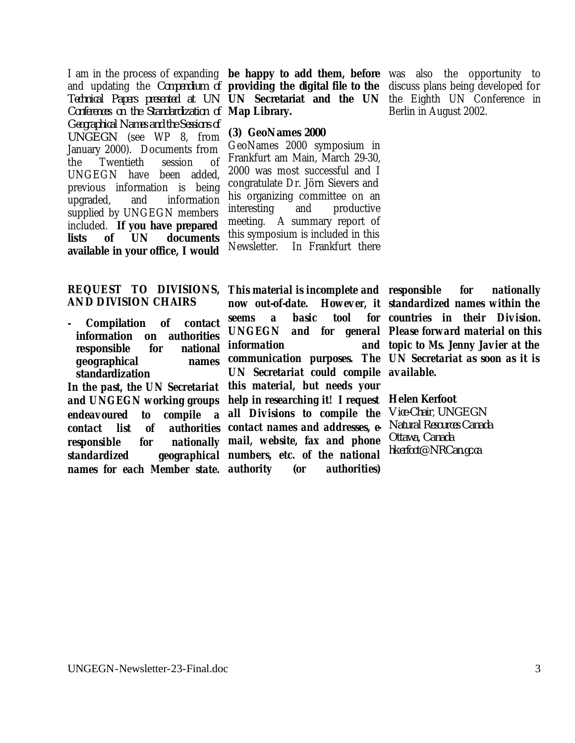I am in the process of expanding **be happy to add them, before** was also the opportunity to and updating the *Compendium of* **providing the digital file to the** discuss plans being developed for *Technical Papers presented at UN Conferences on the Standardization of* **Map Library.** *Geographical Names and the Sessions of UNGEGN* (see WP 8, from January 2000). Documents from the Twentieth session of UNGEGN have been added, previous information is being upgraded, and information supplied by UNGEGN members included. **If you have prepared lists of UN documents available in your office, I would** 

### **REQUEST TO DIVISIONS, AND DIVISION CHAIRS**

**- Compilation of contact information on authorities responsible for national geographical names standardization**

*In the past, the UN Secretariat endeavoured to compile a all Divisions to compile the contact list of authorities contact names and addresses, eresponsible for nationally standardized geographical numbers, etc. of the national names for each Member state.* 

**UN Secretariat and the UN** the Eighth UN Conference in

### **(3) GeoNames 2000**

GeoNames 2000 symposium in Frankfurt am Main, March 29-30, 2000 was most successful and I congratulate Dr. Jörn Sievers and his organizing committee on an interesting and productive meeting. A summary report of this symposium is included in this Newsletter. In Frankfurt there

Berlin in August 2002.

*and UNGEGN working groups help in researching it! I request*  **Helen Kerfoot** *This material is incomplete and responsible for nationally now out-of-date. seems a basic tool UNGEGN and for general Please forward material on this information communication purposes. The UN Secretariat as soon as it is UN Secretariat could compile available. this material, but needs your mail, website, fax and phone authority (or authorities)*

*standardized names within the countries in their Division. topic to Ms. Jenny Javier at the* 

*Vice-Chair*, *UNGEGN Natural Resources Canada Ottawa, Canada hkerfoot@NRCan.gc.ca*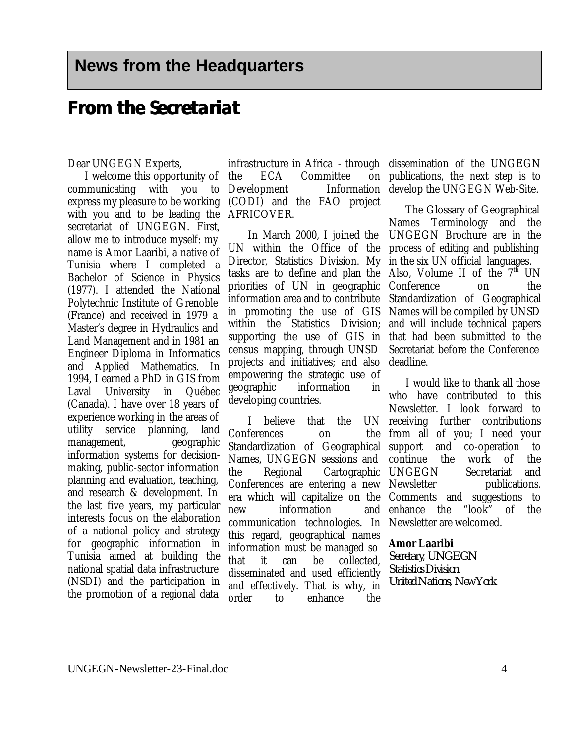### **From the Secretariat**

### Dear UNGEGN Experts,

I welcome this opportunity of communicating with you to express my pleasure to be working with you and to be leading the AFRICOVER. secretariat of UNGEGN. First, allow me to introduce myself: my name is Amor Laaribi, a native of Tunisia where I completed a Bachelor of Science in Physics (1977). I attended the National Polytechnic Institute of Grenoble (France) and received in 1979 a Master's degree in Hydraulics and Land Management and in 1981 an Engineer Diploma in Informatics and Applied Mathematics. In 1994, I earned a PhD in GIS from Laval University in Québec (Canada). I have over 18 years of experience working in the areas of utility service planning, land management, geographic information systems for decisionmaking, public-sector information planning and evaluation, teaching, and research & development. In the last five years, my particular interests focus on the elaboration of a national policy and strategy for geographic information in Tunisia aimed at building the national spatial data infrastructure (NSDI) and the participation in the promotion of a regional data

infrastructure in Africa - through the ECA Committee Development Information (CODI) and the FAO project

In March 2000, I joined the UN within the Office of the Director, Statistics Division. My tasks are to define and plan the priorities of UN in geographic information area and to contribute in promoting the use of GIS within the Statistics Division; supporting the use of GIS in census mapping, through UNSD projects and initiatives; and also empowering the strategic use of geographic information in developing countries.

I believe that the Conferences on Standardization of Geographical Names, UNGEGN sessions and the Regional Cartographic UNGEGN Secretariat and Conferences are entering a new era which will capitalize on the Comments and suggestions to new information and communication technologies. In this regard, geographical names information must be managed so that it can be collected, disseminated and used efficiently and effectively. That is why, in order to enhance the

dissemination of the UNGEGN publications, the next step is to develop the UNGEGN Web-Site.

> The Glossary of Geographical Names Terminology and the UNGEGN Brochure are in the process of editing and publishing in the six UN official languages. Also, Volume II of the  $7<sup>th</sup>$  UN Conference on the Standardization of Geographical Names will be compiled by UNSD and will include technical papers that had been submitted to the Secretariat before the Conference deadline.

I would like to thank all those who have contributed to this Newsletter. I look forward to UN receiving further contributions from all of you; I need your support and co-operation to continue the work of the publications. enhance the "look" of the Newsletter are welcomed.

### **Amor Laaribi**

*Secretary*, *UNGEGN Statistics Division United Nations, New York*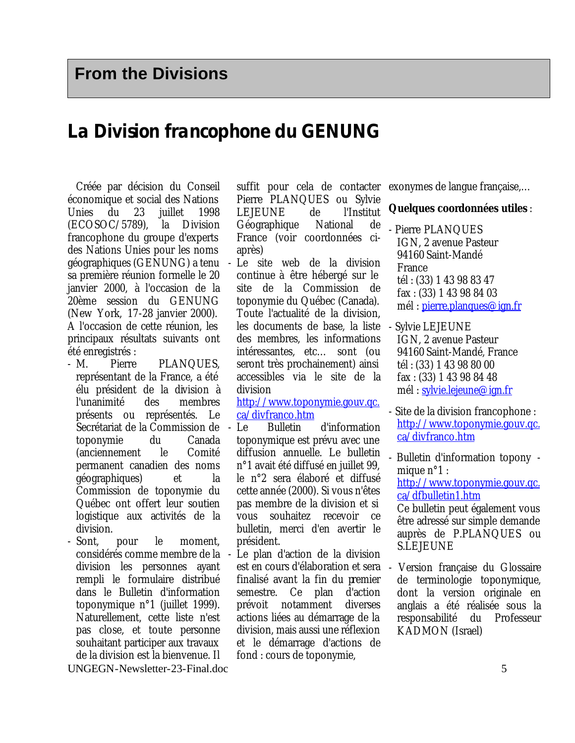### **La Division francophone du GENUNG**

Créée par décision du Conseil économique et social des Nations Unies du 23 juillet 1998 (ECOSOC/5789), la Division francophone du groupe d'experts des Nations Unies pour les noms géographiques (GENUNG) a tenu sa première réunion formelle le 20 janvier 2000, à l'occasion de la 20ème session du GENUNG (New York, 17-28 janvier 2000). A l'occasion de cette réunion, les principaux résultats suivants ont été enregistrés :

- M. Pierre PLANQUES, représentant de la France, a été élu président de la division à l'unanimité des membres présents ou représentés. Le Secrétariat de la Commission de toponymie du Canada (anciennement le Comité permanent canadien des noms géographiques) et la Commission de toponymie du Québec ont offert leur soutien logistique aux activités de la division.
- UNGEGN-Newsletter-23-Final.doc 5 - Sont, pour le moment, considérés comme membre de la division les personnes ayant rempli le formulaire distribué dans le Bulletin d'information toponymique n°1 (juillet 1999). Naturellement, cette liste n'est pas close, et toute personne souhaitant participer aux travaux de la division est la bienvenue. Il

suffit pour cela de contacter Pierre PLANQUES ou Sylvie LEJEUNE de l'Institut Géographique National de France (voir coordonnées ciaprès)

Le site web de la division continue à être hébergé sur le site de la Commission de toponymie du Québec (Canada). Toute l'actualité de la division, les documents de base, la liste des membres, les informations intéressantes, etc… sont (ou seront très prochainement) ainsi accessibles via le site de la division

http://www.toponymie.gouv.qc. ca/divfranco.htm

- Le Bulletin d'information toponymique est prévu avec une diffusion annuelle. Le bulletin n°1 avait été diffusé en juillet 99, le n°2 sera élaboré et diffusé cette année (2000). Si vous n'êtes pas membre de la division et si vous souhaitez recevoir ce bulletin, merci d'en avertir le président.
- Le plan d'action de la division est en cours d'élaboration et sera finalisé avant la fin du premier semestre. Ce plan d'action prévoit notamment diverses actions liées au démarrage de la division, mais aussi une réflexion et le démarrage d'actions de fond : cours de toponymie,

exonymes de langue française,…

### **Quelques coordonnées utiles** :

- Pierre PLANQUES IGN, 2 avenue Pasteur 94160 Saint-Mandé France tél : (33) 1 43 98 83 47 fax : (33) 1 43 98 84 03 mél : pierre.planques@ign.fr
- Sylvie LEJEUNE IGN, 2 avenue Pasteur 94160 Saint-Mandé, France tél : (33) 1 43 98 80 00 fax : (33) 1 43 98 84 48 mél : sylvie.lejeune@ign.fr
- Site de la division francophone : http://www.toponymie.gouv.qc. ca/divfranco.htm

- Bulletin d'information topony mique  $n^{\circ}1$  : http://www.toponymie.gouv.qc. ca/dfbulletin1.htm

Ce bulletin peut également vous être adressé sur simple demande auprès de P.PLANQUES ou S.LEJEUNE

- Version française du Glossaire de terminologie toponymique, dont la version originale en anglais a été réalisée sous la responsabilité du Professeur KADMON (Israel)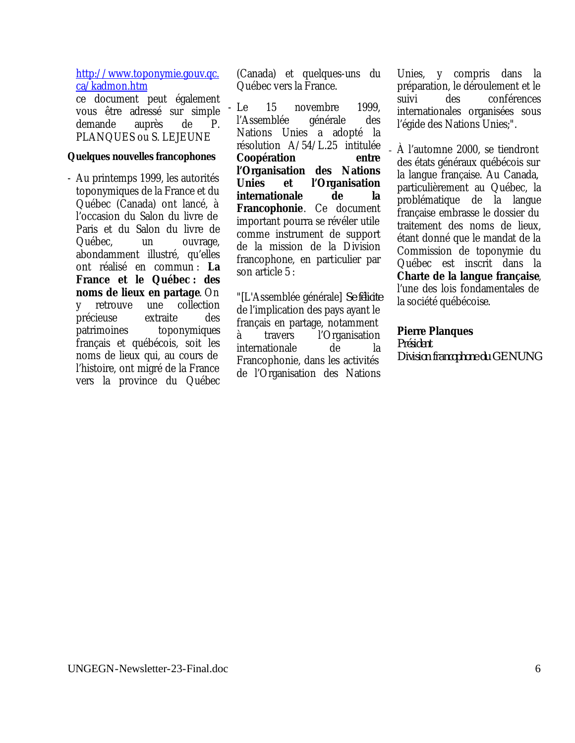http://www.toponymie.gouv.qc. ca/kadmon.htm

ce document peut également vous être adressé sur simple demande auprès de P. PLANQUES ou S. LEJEUNE

### **Quelques nouvelles francophones**

- Au printemps 1999, les autorités toponymiques de la France et du Québec (Canada) ont lancé, à l'occasion du Salon du livre de Paris et du Salon du livre de Québec, un ouvrage, abondamment illustré, qu'elles ont réalisé en commun : **La France et le Québec : des noms de lieux en partage**. On y retrouve une collection précieuse extraite des patrimoines toponymiques français et québécois, soit les noms de lieux qui, au cours de l'histoire, ont migré de la France vers la province du Québec

(Canada) et quelques-uns du Québec vers la France.

- Le 15 novembre 1999, l'Assemblée générale des Nations Unies a adopté la résolution A/54/L.25 intitulée **Coopération entre l'Organisation des Nations Unies et l'Organisation internationale de la Francophonie**. Ce document important pourra se révéler utile comme instrument de support de la mission de la Division francophone, en particulier par son article 5 :

"[L'Assemblée générale] *Se félicite* de l'implication des pays ayant le français en partage, notamment à travers l'Organisation internationale de la Francophonie, dans les activités de l'Organisation des Nations

Unies, y compris dans la préparation, le déroulement et le suivi des conférences internationales organisées sous l'égide des Nations Unies;".

- À l'automne 2000, se tiendront des états généraux québécois sur la langue française. Au Canada, particulièrement au Québec, la problématique de la langue française embrasse le dossier du traitement des noms de lieux, étant donné que le mandat de la Commission de toponymie du Québec est inscrit dans la **Charte de la langue française**, l'une des lois fondamentales de la société québécoise.

### **Pierre Planques**

*Président Division francophone du GENUNG*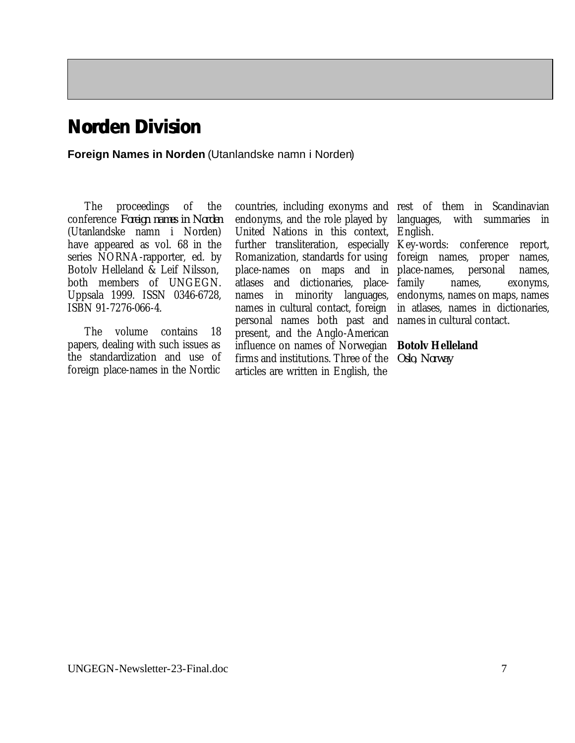## **Norden Division**

**Foreign Names in Norden** (Utanlandske namn i Norden)

The proceedings of the conference *Foreign names in Norden* (Utanlandske namn i Norden) have appeared as vol. 68 in the series NORNA-rapporter, ed. by Botolv Helleland & Leif Nilsson, both members of UNGEGN. Uppsala 1999. ISSN 0346-6728, ISBN 91-7276-066-4.

The volume contains 18 papers, dealing with such issues as the standardization and use of foreign place-names in the Nordic

countries, including exonyms and rest of them in Scandinavian endonyms, and the role played by United Nations in this context, English. further transliteration, especially Key-words: conference report, Romanization, standards for using foreign names, proper names, place-names on maps and in place-names, personal names, atlases and dictionaries, placenames in minority languages, names in cultural contact, foreign personal names both past and names in cultural contact. present, and the Anglo-American influence on names of Norwegian **Botolv Helleland** firms and institutions. Three of the *Oslo, Norway*articles are written in English, the

languages, with summaries in

family names, exonyms, endonyms, names on maps, names in atlases, names in dictionaries,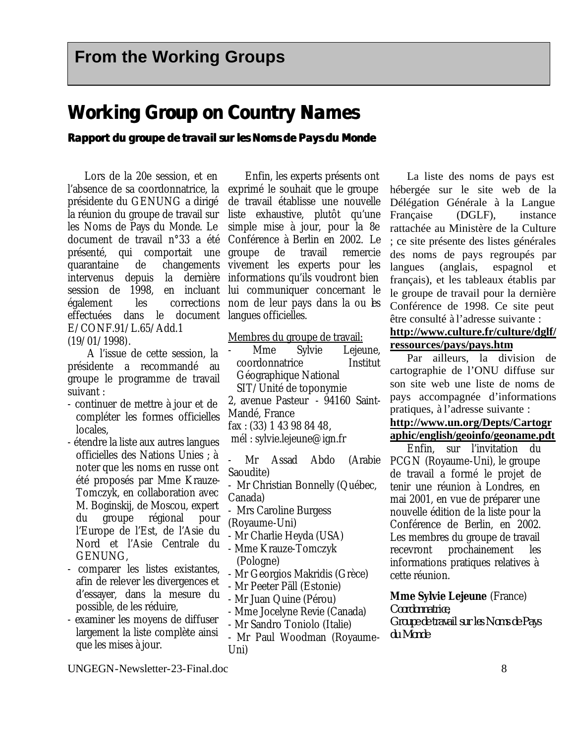### **Working Group on Country Names**

### **Rapport du groupe de travail sur les Noms de Pays du Monde**

Lors de la 20e session, et en l'absence de sa coordonnatrice, la présidente du GENUNG a dirigé la réunion du groupe de travail sur les Noms de Pays du Monde. Le document de travail n°33 a été présenté, qui comportait une quarantaine de changements vivement les experts pour les intervenus depuis la dernière informations qu'ils voudront bien session de 1998, en incluant lui communiquer concernant le effectuées dans le document langues officielles. E/CONF.91/L.65/Add.1

(19/01/1998).

A l'issue de cette session, la présidente a recommandé au groupe le programme de travail suivant :

- continuer de mettre à jour et de compléter les formes officielles locales,
- étendre la liste aux autres langues officielles des Nations Unies ; à noter que les noms en russe ont été proposés par Mme Krauze-Tomczyk, en collaboration avec M. Boginskij, de Moscou, expert du groupe régional pour l'Europe de l'Est, de l'Asie du Nord et l'Asie Centrale du GENUNG,
- comparer les listes existantes, afin de relever les divergences et d'essayer, dans la mesure du possible, de les réduire,
- examiner les moyens de diffuser largement la liste complète ainsi que les mises à jour.

également les corrections nom de leur pays dans la ou les Enfin, les experts présents ont exprimé le souhait que le groupe de travail établisse une nouvelle liste exhaustive, plutôt qu'une simple mise à jour, pour la 8e Conférence à Berlin en 2002. Le groupe de travail remercie

Membres du groupe de travail:

Mme Sylvie Lejeune, coordonnatrice Institut Géographique National SIT/Unité de toponymie 2, avenue Pasteur - 94160 Saint-Mandé, France fax : (33) 1 43 98 84 48, mél : sylvie.lejeune@ign.fr

- Mr Assad Abdo (Arabie Saoudite) - Mr Christian Bonnelly (Québec, Canada) - Mrs Caroline Burgess (Royaume-Uni) - Mr Charlie Heyda (USA) - Mme Krauze-Tomczyk (Pologne) - Mr Georgios Makridis (Grèce)

- Mr Peeter Päll (Estonie)

- Mr Juan Quine (Pérou)

- Mme Jocelyne Revie (Canada)
- Mr Sandro Toniolo (Italie)
- Mr Paul Woodman (Royaume-Uni)

La liste des noms de pays est hébergée sur le site web de la Délégation Générale à la Langue Française (DGLF), instance rattachée au Ministère de la Culture ; ce site présente des listes générales des noms de pays regroupés par langues (anglais, espagnol et français), et les tableaux établis par le groupe de travail pour la dernière Conférence de 1998. Ce site peut être consulté à l'adresse suivante :

### **http://www.culture.fr/culture/dglf/ ressources/pays/pays.htm**

Par ailleurs, la division de cartographie de l'ONU diffuse sur son site web une liste de noms de pays accompagnée d'informations pratiques, à l'adresse suivante :

### **http://www.un.org/Depts/Cartogr aphic/english/geoinfo/geoname.pdt**

Enfin, sur l'invitation du PCGN (Royaume-Uni), le groupe de travail a formé le projet de tenir une réunion à Londres, en mai 2001, en vue de préparer une nouvelle édition de la liste pour la Conférence de Berlin, en 2002. Les membres du groupe de travail recevront prochainement les informations pratiques relatives à cette réunion.

### **Mme Sylvie Lejeune** (France)

*Coordonnatrice, Groupe de travail sur les Noms de Pays du Monde*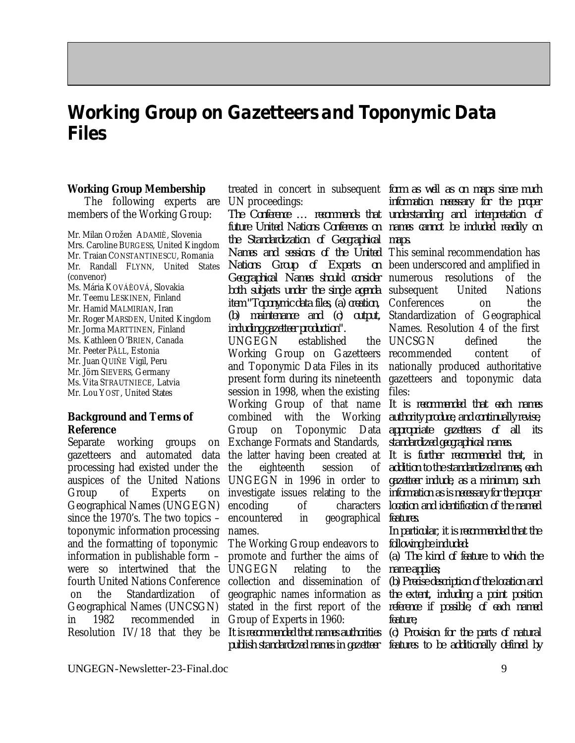## **Working Group on Gazetteers and Toponymic Data Files**

### **Working Group Membership**

The following experts are members of the Working Group:

Mr. Milan Orožen ADAMIÈ, Slovenia Mrs. Caroline BURGESS, United Kingdom Mr. Traian CONSTANTINESCU, Romania Mr. Randall FLYNN, United States (convenor)

Ms. Mária KOVÁÈOVÁ, Slovakia Mr. Teemu LESKINEN, Finland Mr. Hamid MALMIRIAN, Iran Mr. Roger MARSDEN, United Kingdom Mr. Jorma MARTTINEN, Finland Ms. Kathleen O'BRIEN, Canada Mr. Peeter PÄLL, Estonia Mr. Juan QUIÑE Vigil, Peru Mr. Jörn SIEVERS, Germany Ms. Vita STRAUTNIECE, Latvia Mr. Lou YOST, United States

### **Background and Terms of Reference**

Separate working groups on gazetteers and automated data the latter having been created at processing had existed under the auspices of the United Nations Group of Experts Geographical Names (UNGEGN) since the 1970's. The two topics – toponymic information processing and the formatting of toponymic information in publishable form – were so intertwined that the fourth United Nations Conference on the Standardization of Geographical Names (UNCSGN) in 1982 recommended

treated in concert in subsequent *form as well as on maps since much* UN proceedings:

*The Conference … recommends that future United Nations Conferences on the Standardization of Geographical Names and sessions of the United* This seminal recommendation has *Nations Group of Experts on Geographical Names should consider* numerous resolutions of the both subjects under the single agenda subsequent United Nations *item "Toponymic data files, (a) creation, (b) maintenance and (c) output, including gazetteer production".*

UNGEGN established Working Group on Gazetteers recommended content of and Toponymic Data Files in its present form during its nineteenth gazetteers and toponymic data session in 1998, when the existing Working Group of that name *It is recommended that each names* combined with the Working Group on Toponymic Data Exchange Formats and Standards, the eighteenth session of UNGEGN in 1996 in order to investigate issues relating to the *information as is necessary for the proper*  encoding of characters encountered in geographical *features.* names.

The Working Group endeavors to promote and further the aims of UNGEGN relating to the collection and dissemination of geographic names information as stated in the first report of the *reference if possible, of each named* Group of Experts in 1960:

Resolution IV/18 that they be *It is recommended that names authorities (c) Provision for the parts of natural publish standardized names in gazetteer features to be additionally defined by*

*information necessary for the proper understanding and interpretation of names cannot be included readily on maps.*

been underscored and amplified in Conferences on the Standardization of Geographical Names. Resolution 4 of the first UNCSGN defined the nationally produced authoritative files:

> *authority produce, and continually revise, appropriate gazetteers of all its standardized geographical names.*

> *It is further recommended that, in addition to the standardized names, each gazetteer include, as a minimum, such location and identification of the named*

> *In particular, it is recommended that the following be included:*

> *(a) The kind of feature to which the name applies;*

> *(b) Precise description of the location and the extent, including a point position feature;*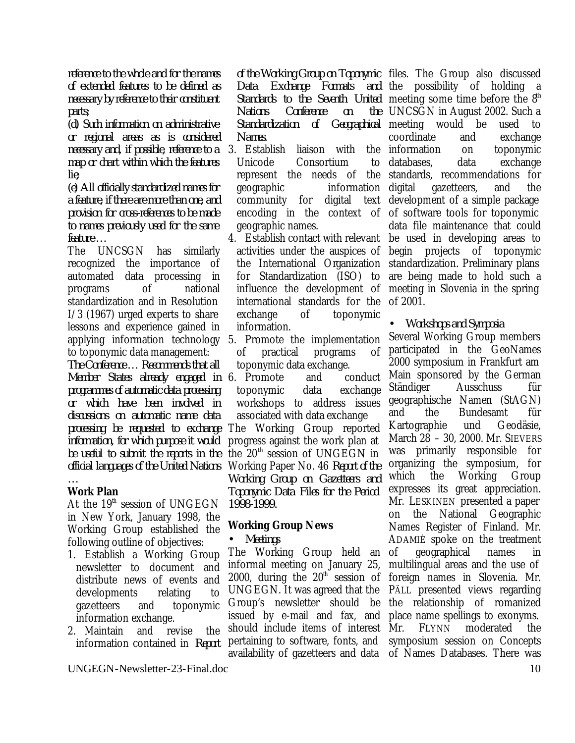*reference to the whole and for the names of extended features to be defined as necessary by reference to their constituent parts;*

*(d) Such information on administrative or regional areas as is considered necessary and, if possible, reference to a map or chart within which the features lie;*

*(e) All officially standardized names for a feature, if there are more than one; and provision for cross-references to be made to names previously used for the same feature …*

The UNCSGN has similarly recognized the importance of automated data processing in programs of national standardization and in Resolution I/3 (1967) urged experts to share lessons and experience gained in applying information technology 5. Promote the implementation to toponymic data management: *The Conference … Recommends that all Member States already engaged in*  6. Promote and conduct *programmes of automatic data processing or which have been involved in discussions on automatic name data processing be requested to exchange information, for which purpose it would be useful to submit the reports in the official languages of the United Nations* 

#### *…* **Work Plan**

At the  $19<sup>th</sup>$  session of UNGEGN in New York, January 1998, the Working Group established the following outline of objectives:

- 1. Establish a Working Group newsletter to document and distribute news of events and developments relating to gazetteers and toponymic information exchange.
- 2. Maintain and revise the information contained in *Report*

*Data Exchange Formats Nations Conference on Standardization of Names.*

- 3. Establish liaison with the Unicode Consortium to represent the needs of the geographic information community for digital text geographic names.
- 4. Establish contact with relevant be used in developing areas to the International Organization for Standardization (ISO) to influence the development of international standards for the of 2001. exchange of toponymic information.
- of practical programs of toponymic data exchange.

toponymic data exchange workshops to address issues associated with data exchange The Working Group reported progress against the work plan at the  $20<sup>th</sup>$  session of UNGEGN in Working Paper No. 46 *Report of the Working Group on Gazetteers and Toponymic Data Files for the Period 1998-1999.*

### **Working Group News**

• *Meetings*

The Working Group held an informal meeting on January 25, 2000, during the  $20<sup>th</sup>$  session of UNGEGN. It was agreed that the Group's newsletter should be issued by e-mail and fax, and should include items of interest pertaining to software, fonts, and availability of gazetteers and data of Names Databases. There was

*of the Working Group on Toponymic*  files. The Group also discussed Standards to the Seventh United meeting some time before the 8<sup>th</sup> encoding in the context of of software tools for toponymic activities under the auspices of begin projects of toponymic and the possibility of holding a UNCSGN in August 2002. Such a Geographical meeting would be used to coordinate and exchange information on toponymic databases, data exchange standards, recommendations for digital gazetteers, and the development of a simple package data file maintenance that could standardization. Preliminary plans are being made to hold such a meeting in Slovenia in the spring

• *Workshops and Symposia*

Several Working Group members participated in the GeoNames 2000 symposium in Frankfurt am Main sponsored by the German Ständiger Ausschuss für geographische Namen (StAGN) and the Bundesamt für Kartographie und Geodäsie, March 28 – 30, 2000. Mr. SIEVERS was primarily responsible for organizing the symposium, for which the Working Group expresses its great appreciation. Mr. LESKINEN presented a paper on the National Geographic Names Register of Finland. Mr. ADAMIÈ spoke on the treatment of geographical names in multilingual areas and the use of foreign names in Slovenia. Mr. PÄLL presented views regarding the relationship of romanized place name spellings to exonyms. Mr. FLYNN moderated the symposium session on Concepts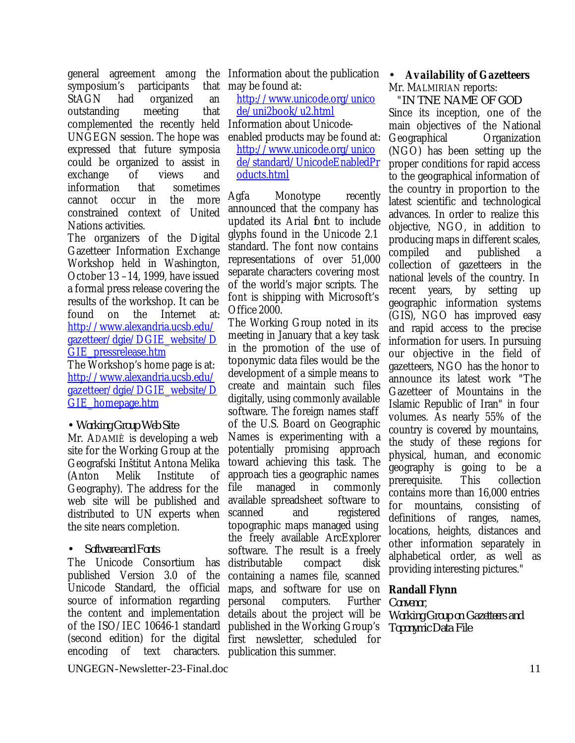symposium's participants that StAGN had organized an outstanding meeting that complemented the recently held UNGEGN session. The hope was expressed that future symposia could be organized to assist in exchange of views and information that sometimes cannot occur in the more constrained context of United Nations activities.

The organizers of the Digital Gazetteer Information Exchange Workshop held in Washington, October 13 –14, 1999, have issued a formal press release covering the results of the workshop. It can be found on the Internet at: http://www.alexandria.ucsb.edu/ gazetteer/dgie/DGIE\_website/D GIE\_pressrelease.htm

The Workshop's home page is at: http://www.alexandria.ucsb.edu/ gazetteer/dgie/DGIE\_website/D GIE\_homepage.htm

### • *Working Group Web Site*

Mr. ADAMIÈ is developing a web site for the Working Group at the Geografski Inštitut Antona Melika (Anton Melik Institute of Geography). The address for the web site will be published and distributed to UN experts when the site nears completion.

### • *Software and Fonts*

published Version 3.0 of the Unicode Standard, the official maps, and software for use on source of information regarding the content and implementation of the ISO/IEC 10646-1 standard published in the Working Group's (second edition) for the digital first newsletter, scheduled for encoding of text characters. publication this summer.

general agreement among the Information about the publication • *Availability of Gazetteers* may be found at:

http://www.unicode.org/unico de/uni2book/u2.html

Information about Unicodeenabled products may be found at:

http://www.unicode.org/unico de/standard/UnicodeEnabledPr oducts.html

Agfa Monotype recently announced that the company has updated its Arial font to include glyphs found in the Unicode 2.1 standard. The font now contains representations of over 51,000 separate characters covering most of the world's major scripts. The font is shipping with Microsoft's Office 2000.

The Unicode Consortium has distributable compact disk The Working Group noted in its meeting in January that a key task in the promotion of the use of toponymic data files would be the development of a simple means to create and maintain such files digitally, using commonly available software. The foreign names staff of the U.S. Board on Geographic Names is experimenting with a potentially promising approach toward achieving this task. The approach ties a geographic names file managed in commonly available spreadsheet software to scanned and registered topographic maps managed using the freely available ArcExplorer software. The result is a freely containing a names file, scanned personal computers. Further details about the project will be

Mr. MALMIRIAN reports:

"*IN TNE NAME OF GOD* Since its inception, one of the main objectives of the National Geographical Organization (NGO) has been setting up the proper conditions for rapid access to the geographical information of the country in proportion to the latest scientific and technological advances. In order to realize this objective, NGO, in addition to producing maps in different scales, compiled and published a collection of gazetteers in the national levels of the country. In recent years, by setting up geographic information systems (GIS), NGO has improved easy and rapid access to the precise information for users. In pursuing our objective in the field of gazetteers, NGO has the honor to announce its latest work "The Gazetteer of Mountains in the Islamic Republic of Iran" in four volumes. As nearly 55% of the country is covered by mountains, the study of these regions for physical, human, and economic geography is going to be a prerequisite. This collection contains more than 16,000 entries for mountains, consisting of definitions of ranges, names, locations, heights, distances and other information separately in alphabetical order, as well as providing interesting pictures."

### **Randall Flynn**

*Convenor*, *Working Group on Gazetteers and Toponymic Data File*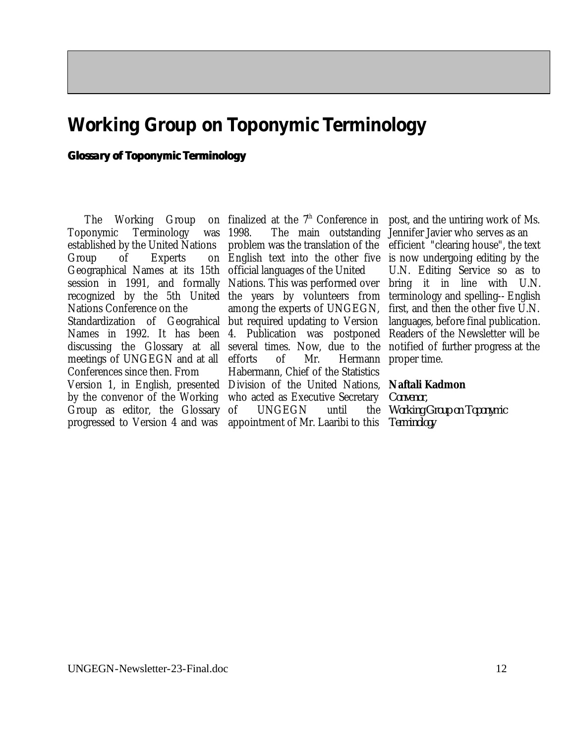## **Working Group on Toponymic Terminology**

### **Glossary of Toponymic Terminology**

The Working Group Toponymic Terminology was established by the United Nations Group of Experts Geographical Names at its 15th official languages of the United session in 1991, and formally Nations. This was performed over bring it in line with U.N. recognized by the 5th United the years by volunteers from terminology and spelling-- English Nations Conference on the Standardization of Geograhical but required updating to Version Names in 1992. It has been 4. Publication was postponed discussing the Glossary at all several times. Now, due to the meetings of UNGEGN and at all Conferences since then. From Version 1, in English, presented Division of the United Nations, **Naftali Kadmon** by the convenor of the Working Group as editor, the Glossary progressed to Version 4 and was

1998. The main outstanding Jennifer Javier who serves as an problem was the translation of the efficient "clearing house", the text English text into the other five is now undergoing editing by the among the experts of UNGEGN, efforts of Mr. Hermann proper time. Habermann, Chief of the Statistics who acted as Executive Secretary of UNGEGN until appointment of Mr. Laaribi to this

finalized at the  $7<sup>th</sup>$  Conference in post, and the untiring work of Ms. U.N. Editing Service so as to first, and then the other five U.N. languages, before final publication. Readers of the Newsletter will be notified of further progress at the

*Convenor, Working Group on Toponymic Terminology*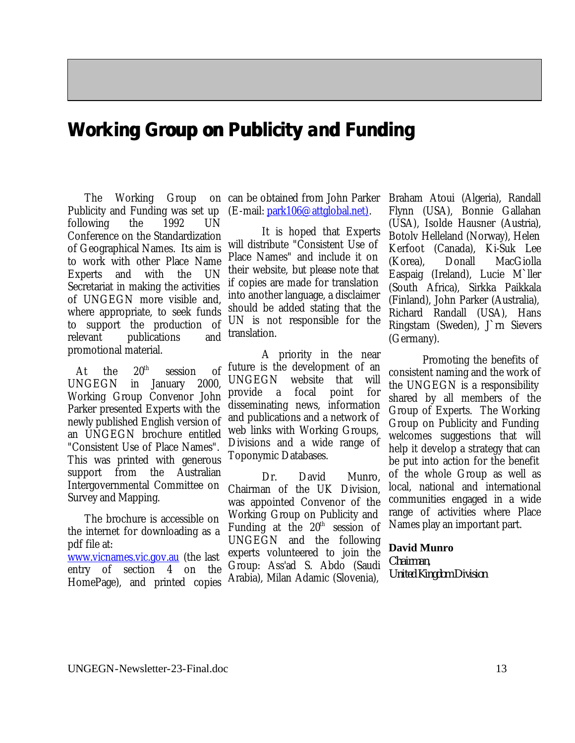### **Working Group on Publicity and Funding**

The Working Group Publicity and Funding was set up following the 1992 UN Conference on the Standardization of Geographical Names. Its aim is to work with other Place Name Experts and with the UN Secretariat in making the activities of UNGEGN more visible and, where appropriate, to seek funds to support the production of relevant publications and promotional material.

At the  $20^{th}$  session of UNGEGN in January 2000, Working Group Convenor John Parker presented Experts with the newly published English version of an UNGEGN brochure entitled "Consistent Use of Place Names". This was printed with generous support from the Australian Intergovernmental Committee on Survey and Mapping.

The brochure is accessible on the internet for downloading as a pdf file at: www.vicnames.vic.gov.au (the last entry of section 4 on the HomePage), and printed copies

can be obtained from John Parker (E-mail: park106@attglobal.net).

> It is hoped that Experts will distribute "Consistent Use of Place Names" and include it on their website, but please note that if copies are made for translation into another language, a disclaimer should be added stating that the UN is not responsible for the translation.

A priority in the near future is the development of an UNGEGN website that will provide a focal point for disseminating news, information and publications and a network of web links with Working Groups, Divisions and a wide range of Toponymic Databases.

Dr. David Munro, Chairman of the UK Division, was appointed Convenor of the Working Group on Publicity and Funding at the  $20<sup>th</sup>$  session of UNGEGN and the following experts volunteered to join the Group: Ass'ad S. Abdo (Saudi Arabia), Milan Adamic (Slovenia),

Braham Atoui (Algeria), Randall Flynn (USA), Bonnie Gallahan (USA), Isolde Hausner (Austria), Botolv Helleland (Norway), Helen Kerfoot (Canada), Ki-Suk Lee (Korea), Donall MacGiolla Easpaig (Ireland), Lucie M`ller (South Africa), Sirkka Paikkala (Finland), John Parker (Australia), Richard Randall (USA), Hans Ringstam (Sweden), J`rn Sievers (Germany).

Promoting the benefits of consistent naming and the work of the UNGEGN is a responsibility shared by all members of the Group of Experts. The Working Group on Publicity and Funding welcomes suggestions that will help it develop a strategy that can be put into action for the benefit of the whole Group as well as local, national and international communities engaged in a wide range of activities where Place Names play an important part.

### **David Munro**

*Chairman*, *United Kingdom Division*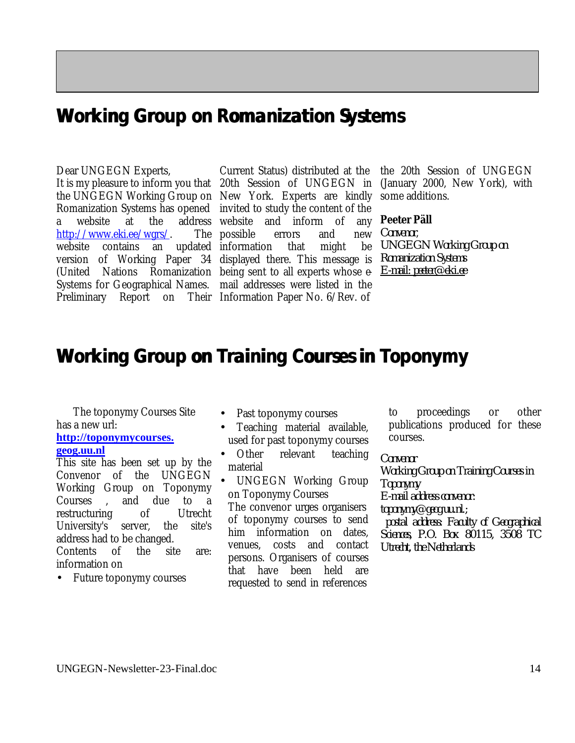### **Working Group on Romanization Systems**

### Dear UNGEGN Experts,

Romanization Systems has opened invited to study the content of the http://www.eki.ee/wgrs/. website contains an updated information that might be version of Working Paper 34 displayed there. This message is (United Nations Romanization being sent to all experts whose e-Systems for Geographical Names. mail addresses were listed in the Preliminary Report on Their Information Paper No. 6/Rev. of

It is my pleasure to inform you that 20th Session of UNGEGN in (January 2000, New York), with the UNGEGN Working Group on New York. Experts are kindly some additions. a website at the address website and inform of any **Peeter Päll** Current Status) distributed at the The possible errors and new

the 20th Session of UNGEGN

*Convenor*, *UNGEGN Working Group on Romanization Systems E-mail: peeter@eki.ee*

### **Working Group on Training Courses in Toponymy**

The toponymy Courses Site has a new url:

#### **http://toponymycourses. geog.uu.nl**

This site has been set up by the Convenor of the UNGEGN Working Group on Toponymy Courses , and due to a restructuring of Utrecht University's server, the site's address had to be changed. Contents of the site are: information on

• Future toponymy courses

- Past toponymy courses
- Teaching material available, used for past toponymy courses
- Other relevant teaching material

• UNGEGN Working Group on Toponymy Courses The convenor urges organisers of toponymy courses to send him information on dates, venues, costs and contact persons. Organisers of courses that have been held are requested to send in references

to proceedings or other publications produced for these courses.

*Convenor*

*Working Group on Training Courses in Toponymy E-mail address convenor: toponymy@geog.uu.nl.; postal address: Faculty of Geographical Sciences, P.O. Box 80115, 3508 TC Utrecht, the Netherlands*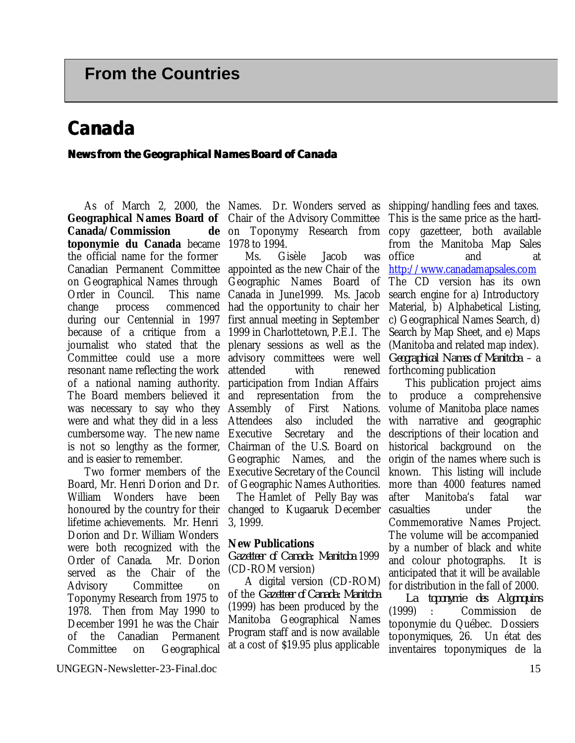## **Canada**

### **News from the Geographical Names Board of Canada**

**Canada/Commission toponymie du Canada** became 1978 to 1994. the official name for the former Canadian Permanent Committee appointed as the new Chair of the on Geographical Names through Order in Council. change process commenced had the opportunity to chair her during our Centennial in 1997 first annual meeting in September because of a critique from a 1999 in Charlottetown, P.E.I. The journalist who stated that the plenary sessions as well as the Committee could use a more advisory committees were well resonant name reflecting the work of a national naming authority. was necessary to say who they Assembly of First Nations. were and what they did in a less cumbersome way. The new name Executive Secretary and the is not so lengthy as the former, and is easier to remember.

Board, Mr. Henri Dorion and Dr. William Wonders have been honoured by the country for their lifetime achievements. Mr. Henri Dorion and Dr. William Wonders were both recognized with the Order of Canada. Mr. Dorion served as the Chair of the Advisory Committee on Toponymy Research from 1975 to 1978. Then from May 1990 to December 1991 he was the Chair of the Canadian Permanent Committee on Geographical

As of March 2, 2000, the Names. Dr. Wonders served as shipping/handling fees and taxes. **Geographical Names Board of**  Chair of the Advisory Committee on Toponymy Research from copy gazetteer, both available

The Board members believed it and representation from the to produce a comprehensive Two former members of the Executive Secretary of the Council Ms. Gisèle Jacob Geographic Names Board of This name Canada in June1999. Ms. Jacob attended with participation from Indian Affairs Attendees also included the Chairman of the U.S. Board on Geographic Names, and the of Geographic Names Authorities.

The Hamlet of Pelly Bay was changed to Kugaaruk December 3, 1999.

### **New Publications**

*Gazetteer of Canada: Manitoba* 1999 (CD-ROM version)

A digital version (CD-ROM) of the *Gazetteer of Canada: Manitoba* (1999) has been produced by the Manitoba Geographical Names Program staff and is now available at a cost of \$19.95 plus applicable

This is the same price as the hardfrom the Manitoba Map Sales was office and at http://www.canadamapsales.com The CD version has its own search engine for a) Introductory Material, b) Alphabetical Listing, c) Geographical Names Search, d) Search by Map Sheet, and e) Maps (Manitoba and related map index). *Geographical Names of Manitoba* – a renewed forthcoming publication

This publication project aims volume of Manitoba place names with narrative and geographic descriptions of their location and historical background on the origin of the names where such is known. This listing will include more than 4000 features named after Manitoba's fatal war casualties under the Commemorative Names Project. The volume will be accompanied by a number of black and white and colour photographs. It is anticipated that it will be available for distribution in the fall of 2000.

*La toponymie des Algonquins* (1999) : Commission de toponymie du Québec. Dossiers toponymiques, 26. Un état des inventaires toponymiques de la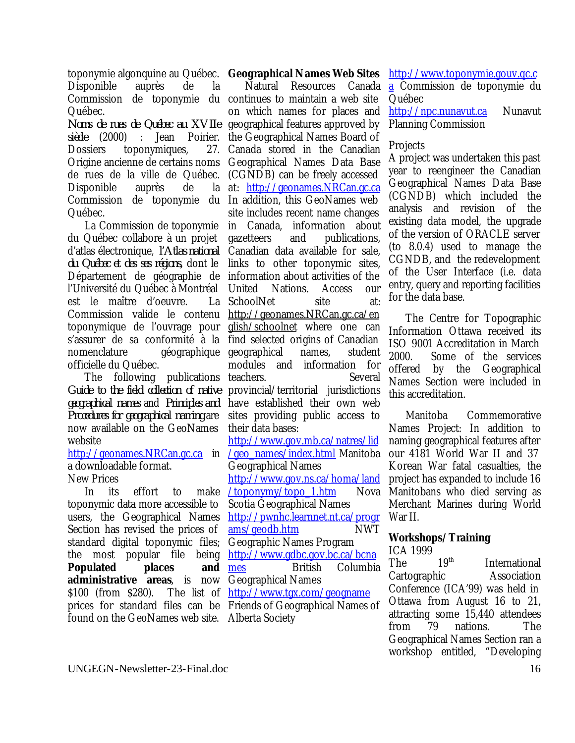toponymie algonquine au Québec. **Geographical Names Web Sites** Disponible auprès de la Commission de toponymie du continues to maintain a web site Québec.

*Noms de rues de Québec au XVIIe* geographical features approved by *siècle* (2000) : Jean Poirier. the Geographical Names Board of Dossiers toponymiques, Origine ancienne de certains noms Geographical Names Data Base de rues de la ville de Québec. (CGNDB) can be freely accessed Disponible auprès de Commission de toponymie du In addition, this GeoNames web Québec.

La Commission de toponymie du Québec collabore à un projet d'atlas électronique, *l'Atlas national du Québec et des ses régions,* dont le Département de géographie de information about activities of the l'Université du Québec à Montréal est le maître d'oeuvre. Commission valide le contenu toponymique de l'ouvrage pour s'assurer de sa conformité à la find selected origins of Canadian nomenclature géographique officielle du Québec.

The following publications *Guide to the field collection of native geographical names* and *Principles and Procedures for geographical naming* are now available on the GeoNames website

a downloadable format.

New Prices

In its effort to make toponymic data more accessible to users, the Geographical Names Section has revised the prices of standard digital toponymic files; Geographic Names Program the most popular file being <u>http://www.gdbc.gov.bc.ca/bcna</u> **Populated places and mes administrative areas**, is now Geographical Names  $$100$  (from  $$280$ ). prices for standard files can be Friends of Geographical Names of found on the GeoNames web site. Alberta Society

http://geonames.NRCan.gc.ca in /geo\_names/index.html Manitoba Natural Resources Canada on which names for places and 27. Canada stored in the Canadian at: http://geonames.NRCan.gc.ca site includes recent name changes in Canada, information about gazetteers and publications, Canadian data available for sale, links to other toponymic sites, United Nations. Access our La SchoolNet site at: http://geonames.NRCan.gc.ca/en glish/schoolnet where one can geographical names, student modules and information for teachers. Several provincial/territorial jurisdictions have established their own web sites providing public access to their data bases: http://www.gov.mb.ca/natres/lid Geographical Names http://www.gov.ns.ca/homa/land /toponymy/topo\_1.htm Nova Scotia Geographical Names http://pwnhc.learnnet.nt.ca/progr ams/geodb.htm NWT

British Columbia The list of <u>http://www.tgx.com/geogname</u>

http://www.toponymie.gouv.qc.c

a Commission de toponymie du Québec

http://npc.nunavut.ca Nunavut Planning Commission

### **Projects**

A project was undertaken this past year to reengineer the Canadian Geographical Names Data Base (CGNDB) which included the analysis and revision of the existing data model, the upgrade of the version of ORACLE server (to 8.0.4) used to manage the CGNDB, and the redevelopment of the User Interface (i.e. data entry, query and reporting facilities for the data base.

The Centre for Topographic Information Ottawa received its ISO 9001 Accreditation in March 2000. Some of the services offered by the Geographical Names Section were included in this accreditation.

Manitoba Commemorative Names Project: In addition to naming geographical features after our 4181 World War II and 37 Korean War fatal casualties, the project has expanded to include 16 Manitobans who died serving as Merchant Marines during World War II.

### **Workshops/Training**

ICA 1999

The 19<sup>th</sup> International Cartographic Association Conference (ICA'99) was held in Ottawa from August 16 to 21, attracting some 15,440 attendees from 79 nations. The Geographical Names Section ran a workshop entitled, "Developing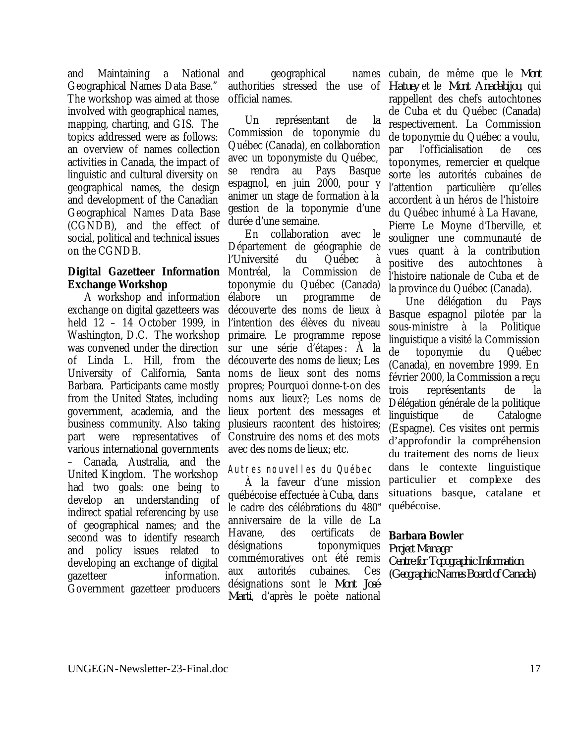and Maintaining a National Geographical Names Data Base." The workshop was aimed at those involved with geographical names, mapping, charting, and GIS. The topics addressed were as follows: an overview of names collection activities in Canada, the impact of linguistic and cultural diversity on geographical names, the design and development of the Canadian Geographical Names Data Base (CGNDB), and the effect of social, political and technical issues on the CGNDB.

## **Exchange Workshop**

A workshop and information exchange on digital gazetteers was held 12 – 14 October 1999, in Washington, D.C. The workshop was convened under the direction of Linda L. Hill, from the University of California, Santa Barbara. Participants came mostly from the United States, including government, academia, and the business community. Also taking plusieurs racontent des histoires; part were representatives of various international governments – Canada, Australia, and the United Kingdom. The workshop had two goals: one being to develop an understanding of indirect spatial referencing by use of geographical names; and the second was to identify research and policy issues related to developing an exchange of digital gazetteer information. Government gazetteer producers

and geographical authorities stressed the use of *Hatuey* et le *Mont Anadabijou*, qui official names.

Un représentant de la Commission de toponymie du Québec (Canada), en collaboration avec un toponymiste du Québec, se rendra au Pays Basque espagnol, en juin 2000, pour y animer un stage de formation à la gestion de la toponymie d'une durée d'une semaine.

**Digital Gazetteer Information** Montréal, la Commission de En collaboration avec le Département de géographie de l'Université du Québec à toponymie du Québec (Canada) élabore un programme de découverte des noms de lieux à l'intention des élèves du niveau primaire. Le programme repose sur une série d'étapes : À la découverte des noms de lieux; Les noms de lieux sont des noms propres; Pourquoi donne-t-on des noms aux lieux?; Les noms de lieux portent des messages et Construire des noms et des mots avec des noms de lieux; etc.

### Autres nouvelles du Québec

À la faveur d'une mission québécoise effectuée à Cuba, dans le cadre des célébrations du 480<sup>e</sup> anniversaire de la ville de La Havane, des certificats de désignations toponymiques commémoratives ont été remis aux autorités cubaines. Ces désignations sont le *Mont José-Marti*, d'après le poète national

cubain, de même que le *Mont*  rappellent des chefs autochtones de Cuba et du Québec (Canada) respectivement. La Commission de toponymie du Québec a voulu, par l'officialisation de ces toponymes, remercier en quelque sorte les autorités cubaines de l'attention particulière qu'elles accordent à un héros de l'histoire du Québec inhumé à La Havane, Pierre Le Moyne d'Iberville, et souligner une communauté de vues quant à la contribution positive des autochtones à l'histoire nationale de Cuba et de la province du Québec (Canada).

Une délégation du Pays Basque espagnol pilotée par la sous-ministre à la Politique linguistique a visité la Commission de toponymie du Québec (Canada), en novembre 1999. En février 2000, la Commission a reçu trois représentants de la Délégation générale de la politique linguistique de Catalogne (Espagne). Ces visites ont permis d'approfondir la compréhension du traitement des noms de lieux dans le contexte linguistique particulier et complexe des situations basque, catalane et québécoise.

### **Barbara Bowler**

*Project Manager Centre for Topographic Information (Geographic Names Board of Canada)*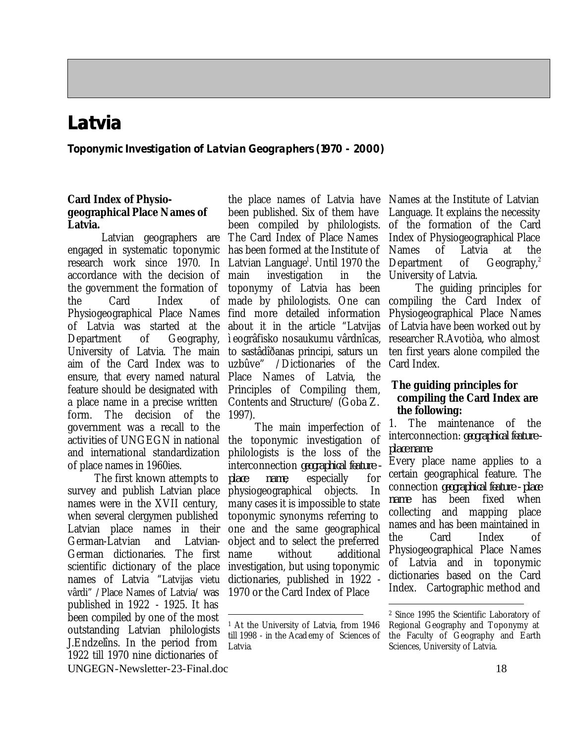## **Latvia**

**Toponymic Investigation of Latvian Geographers (1970 - 2000)**

### **Card Index of Physiogeographical Place Names of Latvia.**

Latvian geographers are engaged in systematic toponymic research work since 1970. In accordance with the decision of the government the formation of the Card Index Physiogeographical Place Names of Latvia was started at the Department of Geography, University of Latvia. The main aim of the Card Index was to uzbûve" /Dictionaries of the ensure, that every named natural Place Names of Latvia, the feature should be designated with a place name in a precise written form. The decision of the government was a recall to the activities of UNGEGN in national and international standardization of place names in 1960ies.

The first known attempts to survey and publish Latvian place names were in the XVII century, when several clergymen published Latvian place names in their German-Latvian and Latvian-German dictionaries. The first scientific dictionary of the place names of Latvia "Latvijas vietu vârdi" /Place Names of Latvia/ was published in 1922 - 1925. It has been compiled by one of the most outstanding Latvian philologists J.Endzelîns. In the period from 1922 till 1970 nine dictionaries of

the place names of Latvia have been published. Six of them have been compiled by philologists. The Card Index of Place Names has been formed at the Institute of Latvian Language<sup>1</sup>. Until 1970 the investigation in the toponymy of Latvia has been made by philologists. One can find more detailed information about it in the article "Latvijas ìeogrâfisko nosaukumu vârdnîcas, to sastâdîðanas principi, saturs un Principles of Compiling them, Contents and Structure/ (Goba Z. 1997).

The main imperfection of the toponymic investigation of philologists is the loss of the interconnection *geographical feature place name*, especially for physiogeographical objects. In many cases it is impossible to state toponymic synonyms referring to one and the same geographical object and to select the preferred name without additional investigation, but using toponymic dictionaries, published in 1922 - 1970 or the Card Index of Place

Names at the Institute of Latvian Language. It explains the necessity of the formation of the Card Index of Physiogeographical Place Names of Latvia at the Department of Geography,<sup>2</sup> University of Latvia.

The guiding principles for compiling the Card Index of Physiogeographical Place Names of Latvia have been worked out by researcher R.Avotiòa, who almost ten first years alone compiled the Card Index.

### **The guiding principles for compiling the Card Index are the following:**

1. The maintenance of the interconnection: *geographical feature place name*.

Every place name applies to a certain geographical feature. The connection *geographical feature - place name* has been fixed when collecting and mapping place names and has been maintained in the Card Index of Physiogeographical Place Names of Latvia and in toponymic dictionaries based on the Card Index. Cartographic method and

 $\overline{a}$ 

 $\overline{a}$ <sup>1</sup> At the University of Latvia, from 1946 till 1998 - in the Acad emy of Sciences of Latvia.

<sup>2</sup> Since 1995 the Scientific Laboratory of Regional Geography and Toponymy at the Faculty of Geography and Earth Sciences, University of Latvia.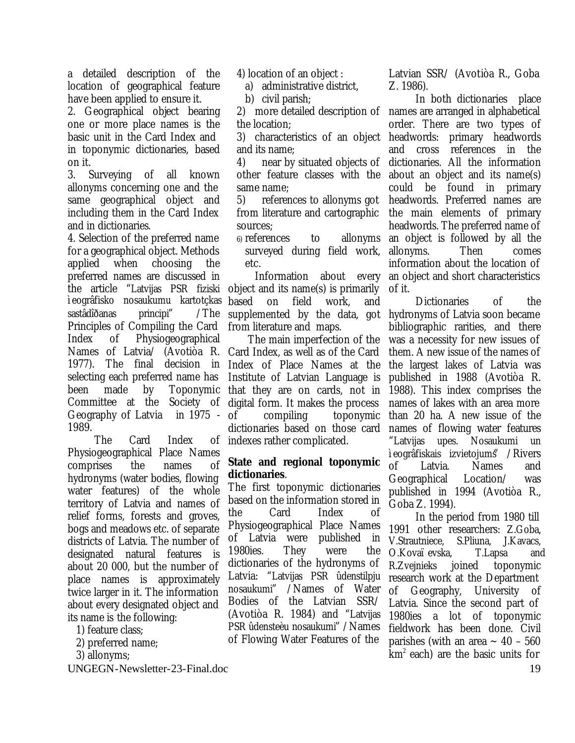a detailed description of the location of geographical feature have been applied to ensure it.

2. Geographical object bearing one or more place names is the basic unit in the Card Index and in toponymic dictionaries, based on it.

3. Surveying of all known allonyms concerning one and the same geographical object and including them in the Card Index and in dictionaries.

4. Selection of the preferred name for a geographical object. Methods applied when choosing the preferred names are discussed in the article "Latvijas PSR fiziski object and its name(s) is primarily ìeogrâfisko nosaukumu kartotçkas based on field work, and sastâdîðanas principi" /The Principles of Compiling the Card Index of Physiogeographical Names of Latvia/ (Avotiòa R. 1977). The final decision in Index of Place Names at the selecting each preferred name has been made by Toponymic that they are on cards, not in Committee at the Geography of Latvia in 1975 - 1989.

The Card Index Physiogeographical Place Names comprises the names of hydronyms (water bodies, flowing water features) of the whole territory of Latvia and names of relief forms, forests and groves, bogs and meadows etc. of separate districts of Latvia. The number of designated natural features is about 20 000, but the number of place names is approximately twice larger in it. The information about every designated object and its name is the following:

- 1) feature class;
- 2) preferred name;
- 3) allonyms;

UNGEGN-Newsletter-23-Final.doc 19

4) location of an object :

a) administrative district,

b) civil parish;

the location;

3) characteristics of an object and its name;

4) near by situated objects of other feature classes with the same name;

5) references to allonyms got from literature and cartographic sources;

6) references to allonyms surveyed during field work, etc.

Information about every supplemented by the data, got from literature and maps.

The main imperfection of the Card Index, as well as of the Card Institute of Latvian Language is Society of digital form. It makes the process of compiling toponymic dictionaries based on those card of indexes rather complicated.

### **State and regional toponymic dictionaries**.

The first toponymic dictionaries based on the information stored in the Card Index of Physiogeographical Place Names of Latvia were published in 1980ies. They were the dictionaries of the hydronyms of Latvia: "Latvijas PSR ûdenstilpju nosaukumi" /Names of Water Bodies of the Latvian SSR/ (Avotiòa R. 1984) and "Latvijas PSR ûdensteèu nosaukumi" /Names of Flowing Water Features of the

Latvian SSR/ (Avotiòa R., Goba Z. 1986).

2) more detailed description of names are arranged in alphabetical In both dictionaries place order. There are two types of headwords: primary headwords and cross references in the dictionaries. All the information about an object and its name(s) could be found in primary headwords. Preferred names are the main elements of primary headwords. The preferred name of an object is followed by all the allonyms. Then comes information about the location of an object and short characteristics of it.

Dictionaries of the hydronyms of Latvia soon became bibliographic rarities, and there was a necessity for new issues of them. A new issue of the names of the largest lakes of Latvia was published in 1988 (Avotiòa R. 1988). This index comprises the names of lakes with an area more than 20 ha. A new issue of the names of flowing water features "Latvijas upes. Nosaukumi un ìeogrâfiskais izvietojums" /Rivers of Latvia. Names and Geographical Location/ was published in 1994 (Avotiòa R., Goba Z. 1994).

In the period from 1980 till 1991 other researchers: Z.Goba, V.Strautniece, S.Pliuna, J.Kavacs, O.Kovaïevska, T.Lapsa and R.Zvejnieks joined toponymic research work at the Department of Geography, University of Latvia. Since the second part of 1980ies a lot of toponymic fieldwork has been done. Civil parishes (with an area  $\sim$  40 – 560  $km<sup>2</sup>$  each) are the basic units for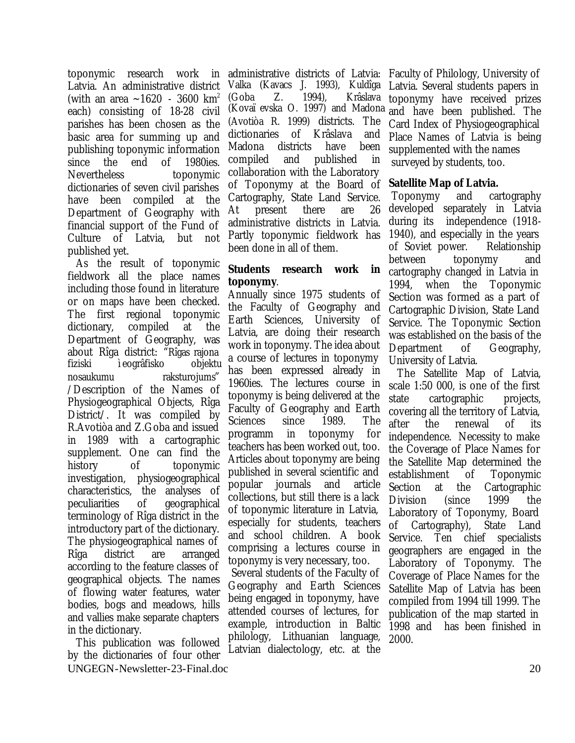toponymic research work in Latvia. An administrative district (with an area  $\sim$ 1620 - 3600 km<sup>2</sup> each) consisting of 18-28 civil parishes has been chosen as the basic area for summing up and publishing toponymic information since the end of 1980ies. Nevertheless toponymic dictionaries of seven civil parishes have been compiled at the Department of Geography with financial support of the Fund of Culture of Latvia, but not published yet.

As the result of toponymic fieldwork all the place names including those found in literature or on maps have been checked. The first regional toponymic dictionary, compiled at the Department of Geography, was about Rîga district: "Rîgas rajona fiziski ìeogrâfisko objektu nosaukumu raksturojums" /Description of the Names of Physiogeographical Objects, Rîga District/. It was compiled by R.Avotiòa and Z.Goba and issued in 1989 with a cartographic supplement. One can find the history of toponymic investigation, physiogeographical characteristics, the analyses of peculiarities of geographical terminology of Rîga district in the introductory part of the dictionary. The physiogeographical names of Rîga district are arranged according to the feature classes of geographical objects. The names of flowing water features, water bodies, bogs and meadows, hills and vallies make separate chapters in the dictionary.

UNGEGN-Newsletter-23-Final.doc 20 This publication was followed by the dictionaries of four other

administrative districts of Latvia: Faculty of Philology, University of Valka (Kavacs J. 1993), Kuldîga (Goba Z. 1994), Krâslava (Kovaïevska O. 1997) and Madona (Avotiòa R. 1999) districts. The dictionaries of Krâslava and Madona districts have been compiled and published in collaboration with the Laboratory of Toponymy at the Board of Cartography, State Land Service. At present there are 26 administrative districts in Latvia. Partly toponymic fieldwork has been done in all of them.

### **Students research work in toponymy**.

Annually since 1975 students of the Faculty of Geography and Earth Sciences, University of Latvia, are doing their research work in toponymy. The idea about a course of lectures in toponymy has been expressed already in 1960ies. The lectures course in toponymy is being delivered at the Faculty of Geography and Earth Sciences since 1989. The programm in toponymy for teachers has been worked out, too. Articles about toponymy are being published in several scientific and popular journals and article collections, but still there is a lack of toponymic literature in Latvia, especially for students, teachers and school children. A book comprising a lectures course in toponymy is very necessary, too.

 Several students of the Faculty of Geography and Earth Sciences being engaged in toponymy, have attended courses of lectures, for example, introduction in Baltic philology, Lithuanian language, Latvian dialectology, etc. at the

Latvia. Several students papers in toponymy have received prizes and have been published. The Card Index of Physiogeographical Place Names of Latvia is being supplemented with the names surveyed by students, too.

### **Satellite Map of Latvia.**

Toponymy and cartography developed separately in Latvia during its independence (1918- 1940), and especially in the years of Soviet power. Relationship between toponymy and cartography changed in Latvia in 1994, when the Toponymic Section was formed as a part of Cartographic Division, State Land Service. The Toponymic Section was established on the basis of the Department of Geography, University of Latvia.

The Satellite Map of Latvia, scale 1:50 000, is one of the first state cartographic projects, covering all the territory of Latvia, after the renewal of its independence. Necessity to make the Coverage of Place Names for the Satellite Map determined the establishment of Toponymic Section at the Cartographic Division (since 1999 the Laboratory of Toponymy, Board of Cartography), State Land Service. Ten chief specialists geographers are engaged in the Laboratory of Toponymy. The Coverage of Place Names for the Satellite Map of Latvia has been compiled from 1994 till 1999. The publication of the map started in 1998 and has been finished in 2000.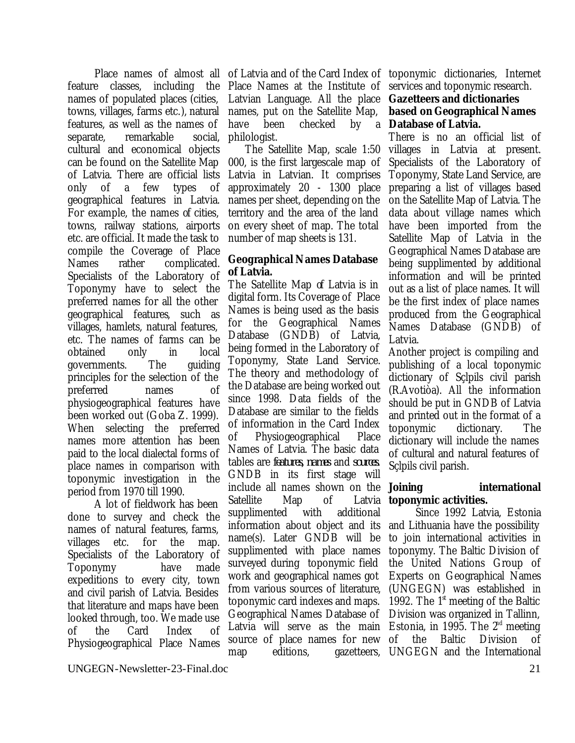feature classes, including the Place Names at the Institute of names of populated places (cities, towns, villages, farms etc.), natural features, as well as the names of separate, remarkable social, cultural and economical objects can be found on the Satellite Map of Latvia. There are official lists only of a few types of geographical features in Latvia. For example, the names of cities, towns, railway stations, airports etc. are official. It made the task to compile the Coverage of Place Names rather complicated. Specialists of the Laboratory of Toponymy have to select the preferred names for all the other geographical features, such as villages, hamlets, natural features, etc. The names of farms can be obtained only in local governments. The guiding principles for the selection of the preferred names of physiogeographical features have been worked out (Goba Z. 1999). When selecting the preferred names more attention has been paid to the local dialectal forms of place names in comparison with toponymic investigation in the period from 1970 till 1990.

A lot of fieldwork has been done to survey and check the names of natural features, farms, villages etc. for the map. Specialists of the Laboratory of Toponymy have made expeditions to every city, town and civil parish of Latvia. Besides that literature and maps have been looked through, too. We made use of the Card Index of Physiogeographical Place Names

Place names of almost all of Latvia and of the Card Index of toponymic dictionaries, Internet Latvian Language. All the place names, put on the Satellite Map, have been checked by philologist.

> The Satellite Map, scale 1:50 000, is the first largescale map of Latvia in Latvian. It comprises approximately 20 - 1300 place names per sheet, depending on the territory and the area of the land on every sheet of map. The total number of map sheets is 131.

### **Geographical Names Database of Latvia.**

The Satellite Map of Latvia is in digital form. Its Coverage of Place Names is being used as the basis for the Geographical Names Database (GNDB) of Latvia, being formed in the Laboratory of Toponymy, State Land Service. The theory and methodology of the Database are being worked out since 1998. Data fields of the Database are similar to the fields of information in the Card Index of Physiogeographical Place Names of Latvia. The basic data tables are *features, names* and *sources.*  GNDB in its first stage will include all names shown on the Satellite Map of Latvia supplimented with additional information about object and its name(s). Later GNDB will be supplimented with place names surveyed during toponymic field work and geographical names got from various sources of literature, toponymic card indexes and maps. Geographical Names Database of Latvia will serve as the main Estonia, in 1995. The  $2<sup>rd</sup>$  meeting source of place names for new map editions, gazetteers, UNGEGN and the International

services and toponymic research.

### **Gazetteers and dictionaries based on Geographical Names Database of Latvia.**

There is no an official list of villages in Latvia at present. Specialists of the Laboratory of Toponymy, State Land Service, are preparing a list of villages based on the Satellite Map of Latvia. The data about village names which have been imported from the Satellite Map of Latvia in the Geographical Names Database are being supplimented by additional information and will be printed out as a list of place names. It will be the first index of place names produced from the Geographical Names Database (GNDB) of Latvia.

Another project is compiling and publishing of a local toponymic dictionary of Sçlpils civil parish (R.Avotiòa). All the information should be put in GNDB of Latvia and printed out in the format of a toponymic dictionary. The dictionary will include the names of cultural and natural features of Sçlpils civil parish.

### **Joining international toponymic activities.**

Since 1992 Latvia, Estonia and Lithuania have the possibility to join international activities in toponymy. The Baltic Division of the United Nations Group of Experts on Geographical Names (UNGEGN) was established in 1992. The  $1<sup>st</sup>$  meeting of the Baltic Division was organized in Tallinn, of the Baltic Division of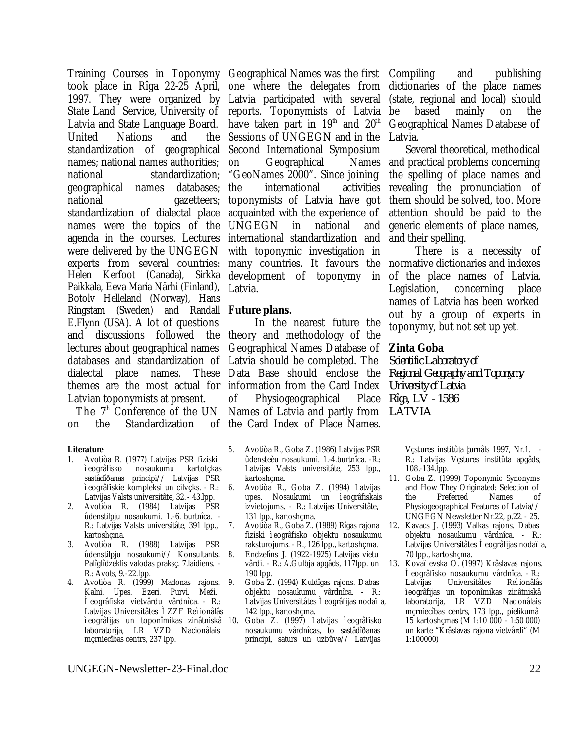took place in Rîga 22-25 April, 1997. They were organized by State Land Service, University of Latvia and State Language Board. United Nations and standardization of geographical Second International Symposium names; national names authorities; national standardization; geographical names databases; national gazetteers; standardization of dialectal place names were the topics of the agenda in the courses. Lectures international standardization and were delivered by the UNGEGN experts from several countries: many countries. It favours the normative dictionaries and indexes Helen Kerfoot (Canada), Sirkka development of toponymy in Paikkala, Eeva Maria Närhi (Finland), Botolv Helleland (Norway), Hans Ringstam (Sweden) and Randall **Future plans.** E.Flynn (USA). A lot of questions and discussions followed the theory and methodology of the lectures about geographical names databases and standardization of Latvia should be completed. The dialectal place names. themes are the most actual for information from the Card Index Latvian toponymists at present.

The  $7<sup>th</sup>$  Conference of the UN on the Standardization

#### **Literature**

- 1. Avotiòa R. (1977) Latvijas PSR fiziski ìeogrâfisko nosaukumu sastâdîðanas principi// Latvijas PSR ìeogrâfiskie kompleksi un cilvçks. - R.: Latvijas Valsts universitâte, 32. - 43.lpp.
- 2. Avotiòa R. (1984) Latvijas PSR ûdenstilpju nosaukumi. 1.-6. burtnîca. - R.: Latvijas Valsts universitâte, 391 lpp., kartoshcma.
- 3. Avotiòa R. (1988) Latvijas PSR ûdenstilpju nosaukumi// Konsultants. Palîglîdzeklis valodas praksç. 7.laidiens. - R.: Avots, 9.-22.lpp.
- 4. Avotiòa R. (1999) Madonas rajons. Kalni. Upes. Ezeri. Purvi. Meži. Ìeogrâfiska vietvârdu vârdnîca. - R.: Latvijas Universitâtes ÌZZF Reìionâlâs laboratorija, LR VZD Nacionâlais mçrniecîbas centrs, 237 lpp.

Training Courses in Toponymy Geographical Names was the first Compiling and publishing one where the delegates from dictionaries of the place names Latvia participated with several reports. Toponymists of Latvia have taken part in  $19<sup>th</sup>$  and  $20<sup>th</sup>$ Sessions of UNGEGN and in the on Geographical "GeoNames 2000". Since joining international activities toponymists of Latvia have got acquainted with the experience of UNGEGN in national and with toponymic investigation in Latvia.

In the nearest future the Geographical Names Database of Data Base should enclose the of Physiogeographical Names of Latvia and partly from *LATVIA* of the Card Index of Place Names.

- 5. Avotiòa R., Goba Z. (1986) Latvijas PSR ûdensteèu nosaukumi. 1.-4.burtnîca. -R.: Latvijas Valsts universitâte, 253 lpp., kartoshcma.
	- 6. Avotiòa R., Goba Z. (1994) Latvijas upes. Nosaukumi un ìeogrâfiskais izvietojums. - R.: Latvijas Universitâte, 131 lpp., kartoshçma.
- 7. Avotiòa R., Goba Z. (1989) Rîgas rajona fiziski ìeogrâfisko objektu nosaukumu raksturojums. - R., 126 lpp., kartoshçma. 8. Endzelîns J. (1922-1925) Latvijas vietu vârdi. - R.: A.Gulbja apgâds, 117lpp. un 190 lpp.
	- 9. Goba Z. (1994) Kuldîgas rajons. Dabas objektu nosaukumu vârdnîca. - R.: Latvijas Universitâtes Ì eogrâfijas nodaïa, 142 lpp., kartoshçma.
- ìeogrâfijas un toponîmikas zinâtniskâ 10. Goba Z. (1997) Latvijas ìeogrâfisko nosaukumu vârdnîcas, to sastâdîðanas principi, saturs un uzbûve// Latvijas

(state, regional and local) should be based mainly on the Geographical Names Database of Latvia.

Several theoretical, methodical Names and practical problems concerning the spelling of place names and revealing the pronunciation of them should be solved, too. More attention should be paid to the generic elements of place names, and their spelling.

> There is a necessity of of the place names of Latvia. Legislation, concerning place names of Latvia has been worked out by a group of experts in toponymy, but not set up yet.

### **Zinta Goba**

*Scientific Laboratory of Regional Geography and Toponymy University of Latvia Rîga, LV - 1586*

> Vçstures institûta þurnâls 1997, Nr.1. - R.: Latvijas Vçstures institûta apgâds, 108.-134.lpp.

- 11. Goba Z. (1999) Toponymic Synonyms and How They Originated: Selection of the Preferred Names of Physiogeographical Features of Latvia// UNGEGN Newsletter Nr.22, p.22. - 25.
- 12. Kavacs J. (1993) Valkas rajons. Dabas objektu nosaukumu vârdnîca. - R.: Latvijas Universitâtes Ì eogrâfijas nodaïa, 70 lpp., kartoshçma.
- 13. Kovaïevska O. (1997) Krâslavas rajons. Ìeogrâfisko nosaukumu vârdnîca. - R.: Latvijas Universitâtes Reìionâlâs ìeogrâfijas un toponîmikas zinâtniskâ laboratorija, LR VZD Nacionâlais mçrniecîbas centrs, 173 lpp., pielikumâ 15 kartoshçmas (M 1:10 000 - 1:50 000) un karte "Krâslavas rajona vietvârdi" (M 1:100000)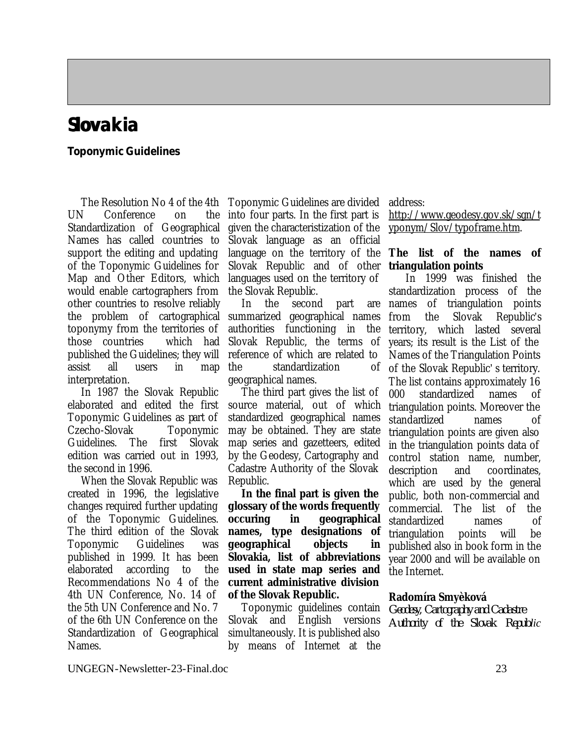## **Slovakia**

### **Toponymic Guidelines**

The Resolution No 4 of the 4th UN Conference on the Standardization of Geographical Names has called countries to support the editing and updating of the Toponymic Guidelines for Map and Other Editors, which would enable cartographers from other countries to resolve reliably the problem of cartographical toponymy from the territories of those countries which had published the Guidelines; they will assist all users in map interpretation.

In 1987 the Slovak Republic elaborated and edited the first Toponymic Guidelines as part of Czecho-Slovak Toponymic Guidelines. The first Slovak edition was carried out in 1993, the second in 1996.

When the Slovak Republic was created in 1996, the legislative changes required further updating of the Toponymic Guidelines. The third edition of the Slovak Toponymic Guidelines was published in 1999. It has been elaborated according to the Recommendations No 4 of the 4th UN Conference, No. 14 of the 5th UN Conference and No. 7 of the 6th UN Conference on the Standardization of Geographical Names.

Toponymic Guidelines are divided into four parts. In the first part is given the characteristization of the Slovak language as an official language on the territory of the **The list of the names of** Slovak Republic and of other languages used on the territory of the Slovak Republic.

In the second part are summarized geographical names authorities functioning in the Slovak Republic, the terms of reference of which are related to the standardization of geographical names.

The third part gives the list of source material, out of which standardized geographical names may be obtained. They are state map series and gazetteers, edited by the Geodesy, Cartography and Cadastre Authority of the Slovak Republic.

**In the final part is given the glossary of the words frequently occuring in geographical names, type designations of geographical objects in Slovakia, list of abbreviations used in state map series and current administrative division of the Slovak Republic.**

Toponymic guidelines contain Slovak and English versions simultaneously. It is published also by means of Internet at the

address:

http://www.geodesy.gov.sk/sgn/t yponym/Slov/typoframe.htm.

## **triangulation points**

In 1999 was finished the standardization process of the names of triangulation points from the Slovak Republic's territory, which lasted several years; its result is the List of the Names of the Triangulation Points of the Slovak Republic' s territory. The list contains approximately 16 000 standardized names of triangulation points. Moreover the standardized names of triangulation points are given also in the triangulation points data of control station name, number, description and coordinates, which are used by the general public, both non-commercial and commercial. The list of the standardized names of triangulation points will be published also in book form in the year 2000 and will be available on the Internet.

### **Radomíra Smyèková**

*Geodesy, Cartography and Cadastre Authority of the Slovak Republic*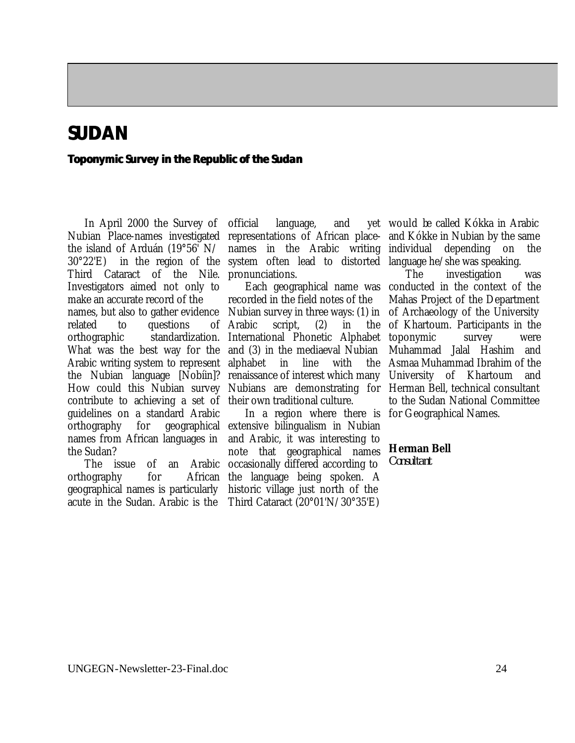### **SUDAN**

### **Toponymic Survey in the Republic of the Sudan**

In April 2000 the Survey of Nubian Place-names investigated the island of Arduán (19°56' N/ 30°22'E) in the region of the system often lead to distorted language he/she was speaking. Third Cataract of the Nile. Investigators aimed not only to make an accurate record of the names, but also to gather evidence related to questions of Arabic orthographic standardization. International Phonetic Alphabet What was the best way for the and (3) in the mediaeval Nubian Arabic writing system to represent alphabet in line with the the Nubian language [Nobíin]? renaissance of interest which many How could this Nubian survey Nubians are demonstrating for Herman Bell, technical consultant contribute to achieving a set of their own traditional culture. guidelines on a standard Arabic orthography for geographical extensive bilingualism in Nubian names from African languages in the Sudan?

orthography for geographical names is particularly

official language, and representations of African place-and Kókke in Nubian by the same names in the Arabic writing pronunciations.

recorded in the field notes of the Nubian survey in three ways: (1) in script,  $(2)$  in the

The issue of an Arabic occasionally differed according to acute in the Sudan. Arabic is the Third Cataract (20°01'N/30°35'E) In a region where there is for Geographical Names. and Arabic, it was interesting to note that geographical names African the language being spoken. A historic village just north of the

would be called Kókka in Arabic depending on the

Each geographical name was conducted in the context of the The investigation was Mahas Project of the Department of Archaeology of the University of Khartoum. Participants in the toponymic survey were Muhammad Jalal Hashim and Asmaa Muhammad Ibrahim of the University of Khartoum and to the Sudan National Committee

**Herman Bell**

*Consultant*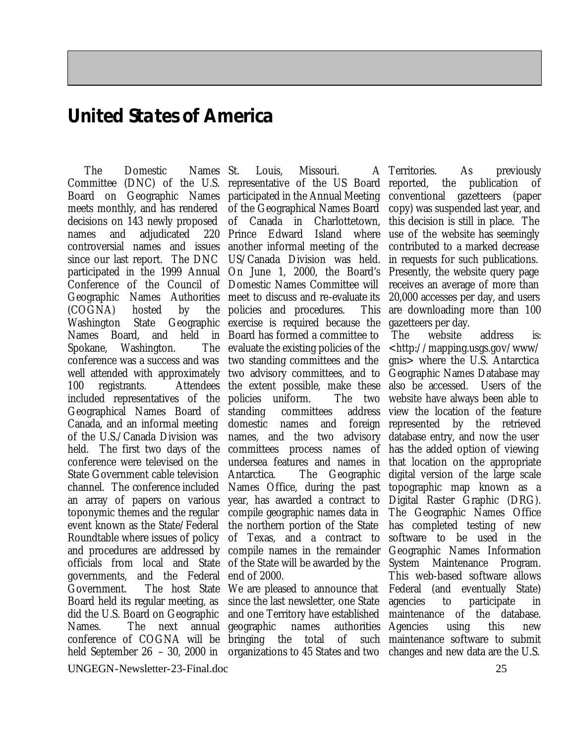### **United States of America**

The Domestic Names St. Committee (DNC) of the U.S. representative of the US Board Board on Geographic Names participated in the Annual Meeting meets monthly, and has rendered decisions on 143 newly proposed names and adjudicated 220 Prince Edward Island where controversial names and issues another informal meeting of the since our last report. The DNC US/Canada Division was held. participated in the 1999 Annual On June 1, 2000, the Board's Conference of the Council of Domestic Names Committee will Geographic Names Authorities meet to discuss and re-evaluate its  $(COGNA)$  hosted by Washington State Names Board, and held in Board has formed a committee to Spokane. Washington. conference was a success and was two standing committees and the well attended with approximately two advisory committees, and to 100 registrants. included representatives of the policies uniform. The two Geographical Names Board of Canada, and an informal meeting of the U.S./Canada Division was held. The first two days of the committees process names of conference were televised on the State Government cable television channel. The conference included an array of papers on various toponymic themes and the regular event known as the State/Federal Roundtable where issues of policy and procedures are addressed by officials from local and State governments, and the Federal end of 2000. Government. The host State Board held its regular meeting, as did the U.S. Board on Geographic Names. The next annual conference of COGNA will be bringing the total of such held September 26 – 30, 2000 in organizations to 45 States and two changes and new data are the U.S.

Louis. Missouri. of the Geographical Names Board of Canada in Charlottetown, policies and procedures. This Geographic exercise is required because the The evaluate the existing policies of the Attendees the extent possible, make these committees address domestic names and foreign represented by the retrieved names, and the two advisory undersea features and names in Antarctica. The Geographic Names Office, during the past year, has awarded a contract to compile geographic names data in the northern portion of the State of Texas, and a contract to compile names in the remainder of the State will be awarded by the

> We are pleased to announce that since the last newsletter, one State and one Territory have established geographic names

Territories. As previously reported, the publication of conventional gazetteers (paper copy) was suspended last year, and this decision is still in place. The use of the website has seemingly contributed to a marked decrease in requests for such publications. Presently, the website query page receives an average of more than 20,000 accesses per day, and users are downloading more than 100 gazetteers per day.

 The website address is: <http://mapping.usgs.gov/www/ gnis> where the U.S. Antarctica Geographic Names Database may also be accessed. Users of the website have always been able to view the location of the feature database entry, and now the user has the added option of viewing that location on the appropriate digital version of the large scale topographic map known as a Digital Raster Graphic (DRG). The Geographic Names Office has completed testing of new software to be used in the Geographic Names Information System Maintenance Program. This web-based software allows Federal (and eventually State) agencies to participate in maintenance of the database. authorities Agencies using this new maintenance software to submit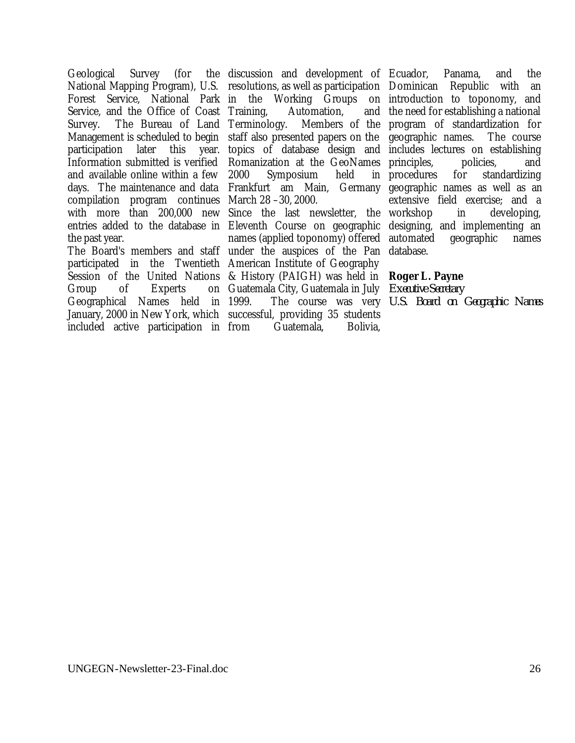Geological Survey (for Service, and the Office of Coast Training, Survey. The Bureau of Land Terminology. and available online within a few days. The maintenance and data Frankfurt am Main, Germany compilation program continues March 28 –30, 2000. with more than 200,000 new Since the last newsletter, the the past year.

participated in the Twentieth American Institute of Geography Group of Experts Geographical Names held in January, 2000 in New York, which successful, providing 35 students included active participation in

National Mapping Program), U.S. resolutions, as well as participation Dominican Republic with an Forest Service, National Park in the Working Groups on introduction to toponomy, and Management is scheduled to begin staff also presented papers on the geographic names. The course participation later this year. topics of database design and includes lectures on establishing Information submitted is verified Romanization at the GeoNames principles, policies, and discussion and development of Ecuador, Panama, and the Automation. Terminology. Members of the program of standardization for 2000 Symposium held in

entries added to the database in Eleventh Course on geographic designing, and implementing an The Board's members and staff under the auspices of the Pan database. Session of the United Nations & History (PAIGH) was held in **Roger L. Payne** names (applied toponomy) offered Guatemala City, Guatemala in July *Executive Secretary* 1999. The course was very *U.S. Board on Geographic Names*Guatemala, Bolivia,

and the need for establishing a national for standardizing geographic names as well as an extensive field exercise; and a in developing, geographic names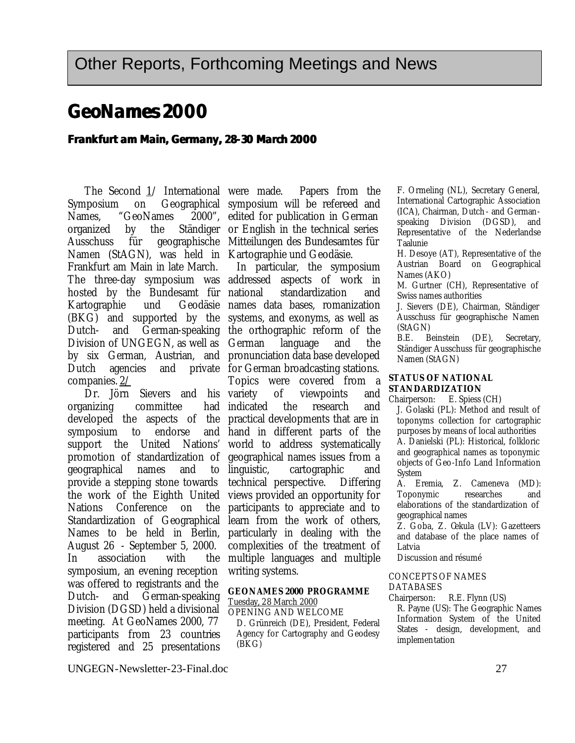### **GeoNames 2000**

### **Frankfurt am Main, Germany, 28-30 March 2000**

The Second 1/ International were made. Symposium on Geographical symposium will be refereed and Names, "GeoNames organized by the Ausschuss für geographische Mitteilungen des Bundesamtes für Namen (StAGN), was held in Kartographie und Geodäsie. Frankfurt am Main in late March. The three-day symposium was addressed aspects of work in hosted by the Bundesamt für Kartographie und (BKG) and supported by the systems, and exonyms, as well as Dutch- and German-speaking the orthographic reform of the Division of UNGEGN, as well as German by six German, Austrian, and pronunciation data base developed Dutch agencies and companies. 2/

Dr. Jörn Sievers and his organizing committee developed the aspects of the practical developments that are in symposium to endorse support the United Nations' promotion of standardization of geographical names and to provide a stepping stone towards the work of the Eighth United Nations Conference on the Standardization of Geographical Names to be held in Berlin, August 26 - September 5, 2000. In association with the symposium, an evening reception was offered to registrants and the Dutch- and German-speaking Division (DGSD) held a divisional meeting. At GeoNames 2000, 77 participants from 23 countries registered and 25 presentations

Papers from the 2000", edited for publication in German Ständiger or English in the technical series

In particular, the symposium standardization and Geodäsie names data bases, romanization language and the private for German broadcasting stations. Topics were covered from a of viewpoints and had indicated the research and hand in different parts of the world to address systematically geographical names issues from a linguistic, cartographic and technical perspective. Differing views provided an opportunity for participants to appreciate and to learn from the work of others, particularly in dealing with the complexities of the treatment of multiple languages and multiple writing systems.

### **GEONAMES 2000 PROGRAMME**

Tuesday, 28 March 2000 OPENING AND WELCOME

D. Grünreich (DE), President, Federal Agency for Cartography and Geodesy (BKG)

F. Ormeling (NL), Secretary General, International Cartographic Association (ICA), Chairman, Dutch - and Germanspeaking Division (DGSD), and Representative of the Nederlandse Taalunie

H. Desoye (AT), Representative of the Austrian Board on Geographical Names (AKO)

M. Gurtner (CH), Representative of Swiss names authorities

J. Sievers (DE), Chairman, Ständiger Ausschuss für geographische Namen (StAGN)

B.E. Beinstein (DE), Secretary, Ständiger Ausschuss für geographische Namen (StAGN)

#### **STATUS OF NATIONAL STANDARDIZATION**

Chairperson: E. Spiess (CH)

J. Golaski (PL): Method and result of toponyms collection for cartographic purposes by means of local authorities A. Danielski (PL): Historical, folkloric and geographical names as toponymic objects of Geo-Info Land Information System

A. Eremia, Z. Cameneva (MD): Toponymic researches and elaborations of the standardization of geographical names

Z. Goba, Z. Cekula (LV): Gazetteers and database of the place names of Latvia

Discussion and résumé

#### CONCEPTS OF NAMES DATABASES

Chairperson: R.E. Flynn (US)

R. Payne (US): The Geographic Names Information System of the United States - design, development, and implementation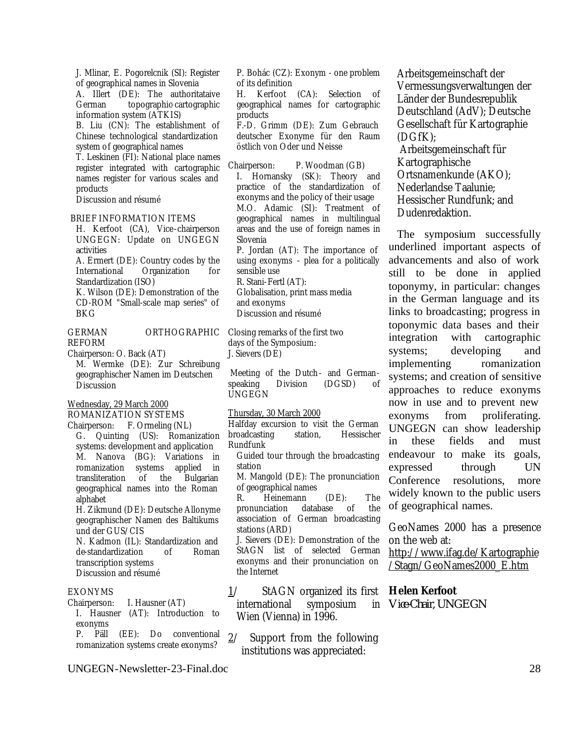J. Mlinar, E. Pogorelcnik (SI): Register of geographical names in Slovenia A. Illert (DE): The authoritataive German topographic-cartographic information system (ATKIS) B. Liu (CN): The establishment of Chinese technological standardization system of geographical names T. Leskinen (FI): National place names

register integrated with cartographic names register for various scales and products

Discussion and résumé

#### BRIEF INFORMATION ITEMS

H. Kerfoot (CA), Vice-chairperson UNGEGN: Update on UNGEGN activities

A. Ermert (DE): Country codes by the International Organization for Standardization (ISO)

K. Wilson (DE): Demonstration of the CD-ROM "Small-scale map series" of BKG

#### GERMAN ORTHOGRAPHIC REFORM

Chairperson: O. Back (AT)

M. Wermke (DE): Zur Schreibung geographischer Namen im Deutschen Discussion

#### Wednesday, 29 March 2000

ROMANIZATION SYSTEMS

Chairperson: F. Ormeling (NL) G. Quinting (US): Romanization systems: development and application M. Nanova (BG): Variations in romanization systems applied in transliteration of the Bulgarian geographical names into the Roman alphabet

H. Zikmund (DE): Deutsche Allonyme geographischer Namen des Baltikums und der GUS/CIS

N. Kadmon (IL): Standardization and de-standardization of Roman transcription systems Discussion and résumé

#### EXONYMS

Chairperson: I. Hausner (AT) I. Hausner (AT): Introduction to exonyms

P. Päll (EE): Do conventional romanization systems create exonyms?

UNGEGN-Newsletter-23-Final.doc 28

P. Bohác (CZ): Exonym - one problem of its definition

H. Kerfoot (CA): Selection of geographical names for cartographic products

F.-D. Grimm (DE): Zum Gebrauch deutscher Exonyme für den Raum östlich von Oder und Neisse

Chairperson: P. Woodman (GB) I. Hornansky (SK): Theory and practice of the standardization of exonyms and the policy of their usage M.O. Adamic (SI): Treatment of geographical names in multilingual areas and the use of foreign names in Slovenia

P. Jordan (AT): The importance of using exonyms - plea for a politically sensible use

R. Stani-Fertl (AT):

Globalisation, print mass media and exonyms Discussion and résumé

Closing remarks of the first two days of the Symposium: J. Sievers (DE)

 Meeting of the Dutch - and Germanspeaking Division (DGSD) of UNGEGN

#### Thursday, 30 March 2000

Halfday excursion to visit the German broadcasting station, Hessischer Rundfunk

Guided tour through the broadcasting station

M. Mangold (DE): The pronunciation of geographical names

R. Heinemann (DE): The pronunciation database of the association of German broadcasting stations (ARD)

J. Sievers (DE): Demonstration of the StAGN list of selected German exonyms and their pronunciation on the Internet

1/ StAGN organized its first international symposium Wien (Vienna) in 1996.

2/ Support from the following institutions was appreciated:

Arbeitsgemeinschaft der Vermessungsverwaltungen der Länder der Bundesrepublik Deutschland (AdV); Deutsche Gesellschaft für Kartographie (DGfK);

 Arbeitsgemeinschaft für Kartographische Ortsnamenkunde (AKO); Nederlandse Taalunie; Hessischer Rundfunk; and Dudenredaktion.

The symposium successfully underlined important aspects of advancements and also of work still to be done in applied toponymy, in particular: changes in the German language and its links to broadcasting; progress in toponymic data bases and their integration with cartographic systems; developing and implementing romanization systems; and creation of sensitive approaches to reduce exonyms now in use and to prevent new exonyms from proliferating. UNGEGN can show leadership in these fields and must endeavour to make its goals, expressed through UN Conference resolutions, more widely known to the public users of geographical names.

GeoNames 2000 has a presence on the web at:

http://www.ifag.de/Kartographie /Stagn/GeoNames2000\_E.htm

### **Helen Kerfoot**

*Vice-Chair, UNGEGN*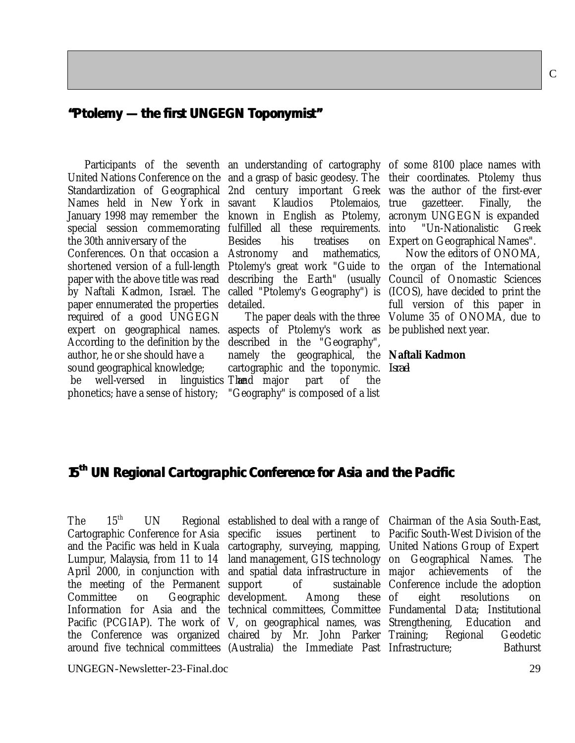### **"Ptolemy — the first UNGEGN Toponymist"**

Names held in New York in special session commemorating fulfilled all these requirements. the 30th anniversary of the Conferences. On that occasion a Astronomy and mathematics,

paper ennumerated the properties required of a good UNGEGN expert on geographical names. aspects of Ptolemy's work as be published next year. According to the definition by the author, he or she should have a sound geographical knowledge;

be well-versed in linguistics Thend major part of the phonetics; have a sense of history; "Geography" is composed of a list

United Nations Conference on the and a grasp of basic geodesy. The their coordinates. Ptolemy thus Standardization of Geographical 2nd century important Greek was the author of the first-ever January 1998 may remember the known in English as Ptolemy, acronym UNGEGN is expanded shortened version of a full-length Ptolemy's great work "Guide to the organ of the International paper with the above title was read describing the Earth" (usually Council of Onomastic Sciences by Naftali Kadmon, Israel. The called "Ptolemy's Geography") is (ICOS), have decided to print the Klaudios Ptolemaios, true Besides his treatises detailed.

> described in the "Geography", namely the geographical, the **Naftali Kadmon** cartographic and the toponymic. *Israel*

Participants of the seventh an understanding of cartography of some 8100 place names with gazetteer. Finally, the "Un-Nationalistic Greek Expert on Geographical Names".

> The paper deals with the three Volume 35 of ONOMA, due to Now the editors of ONOMA, full version of this paper in

-

### **15th UN Regional Cartographic Conference for Asia and the Pacific**

Cartographic Conference for Asia the meeting of the Permanent

and the Pacific was held in Kuala cartography, surveying, mapping, United Nations Group of Expert April 2000, in conjunction with and spatial data infrastructure in major achievements of the Committee on Geographic development. Among these Information for Asia and the technical committees, Committee Fundamental Data; Institutional Pacific (PCGIAP). The work of V, on geographical names, was Strengthening, Education and the Conference was organized chaired by Mr. John Parker Training; Regional Geodetic around five technical committees (Australia) the Immediate Past Infrastructure; Bathurst issues pertinent

The 15<sup>th</sup> UN Regional established to deal with a range of Chairman of the Asia South-East, Lumpur, Malaysia, from 11 to 14 land management, GIS technology on Geographical Names. The support of sustainable Conference include the adoption Pacific South-West Division of the of eight resolutions on